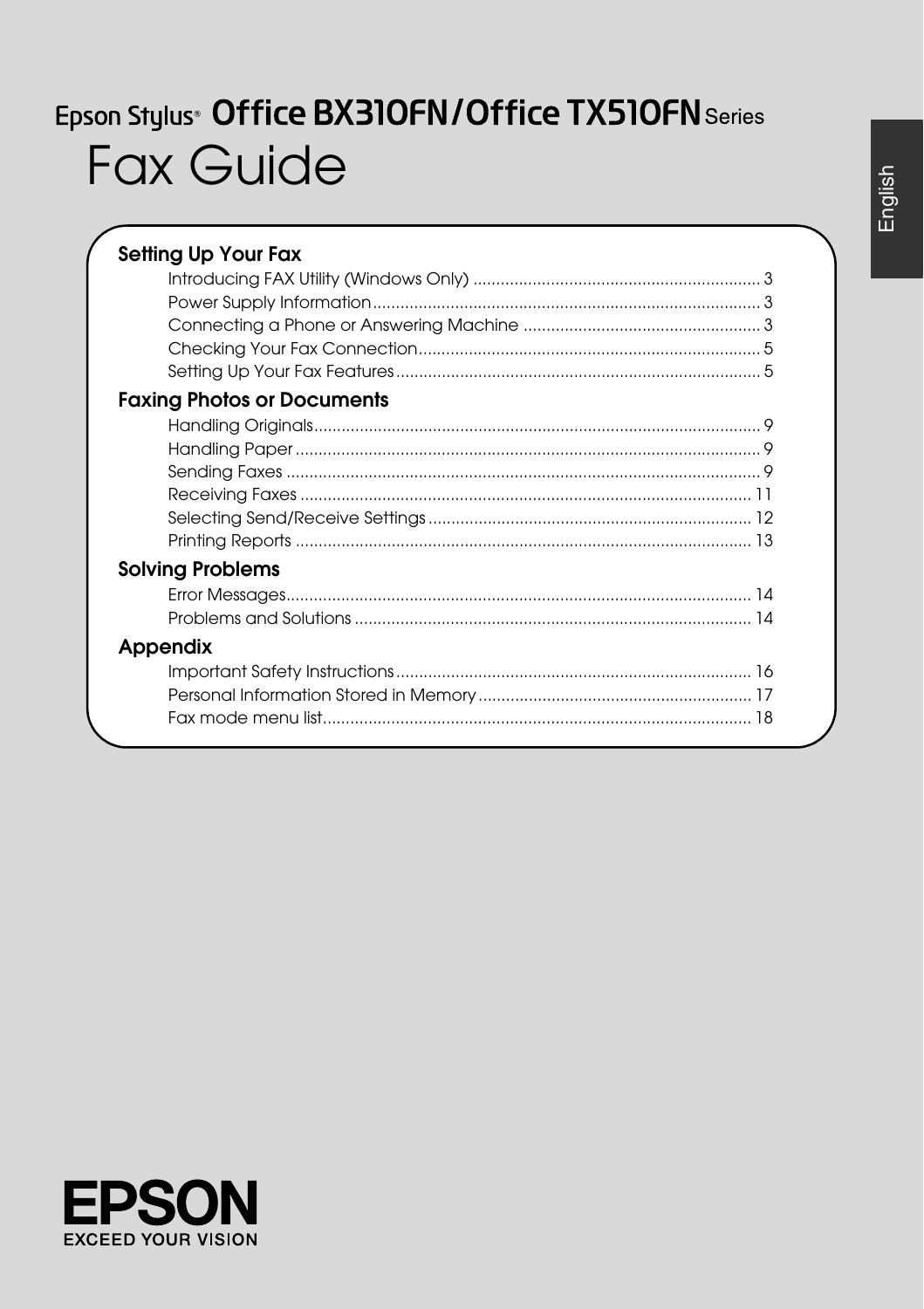# Epson Stylus<sup>®</sup> Office BX310FN/Office TX510FN Series **Fax Guide**

English

| <b>Setting Up Your Fax</b>        |
|-----------------------------------|
|                                   |
|                                   |
|                                   |
|                                   |
|                                   |
| <b>Faxing Photos or Documents</b> |
|                                   |
|                                   |
|                                   |
|                                   |
|                                   |
|                                   |
| <b>Solving Problems</b>           |
|                                   |
|                                   |
| Appendix                          |
|                                   |
|                                   |
|                                   |

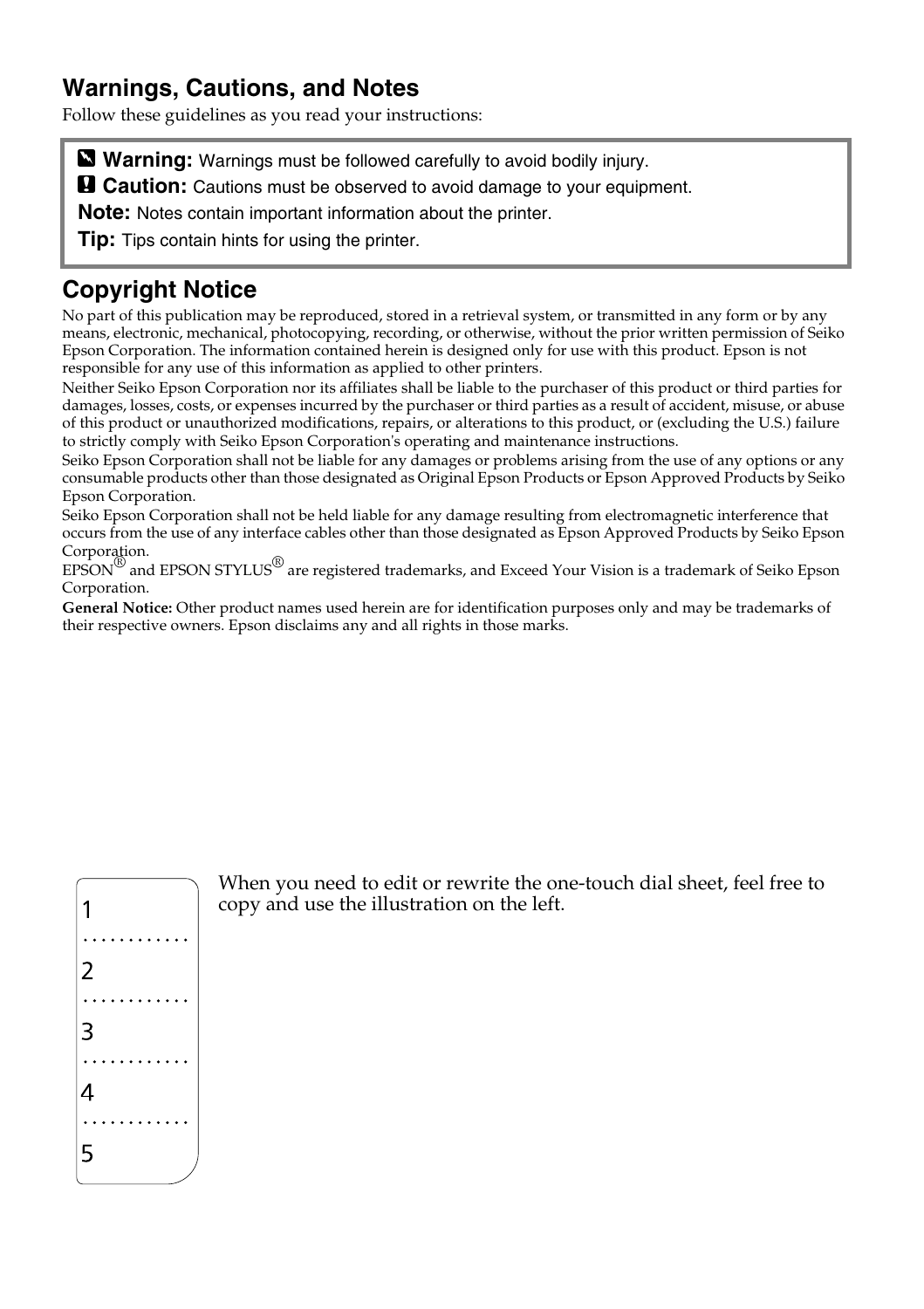### **Warnings, Cautions, and Notes**

Follow these guidelines as you read your instructions:

**Warning:** Warnings must be followed carefully to avoid bodily injury.

**a** Caution: Cautions must be observed to avoid damage to your equipment.

**Note:** Notes contain important information about the printer.

**Tip:** Tips contain hints for using the printer.

### **Copyright Notice**

No part of this publication may be reproduced, stored in a retrieval system, or transmitted in any form or by any means, electronic, mechanical, photocopying, recording, or otherwise, without the prior written permission of Seiko Epson Corporation. The information contained herein is designed only for use with this product. Epson is not responsible for any use of this information as applied to other printers.

Neither Seiko Epson Corporation nor its affiliates shall be liable to the purchaser of this product or third parties for damages, losses, costs, or expenses incurred by the purchaser or third parties as a result of accident, misuse, or abuse of this product or unauthorized modifications, repairs, or alterations to this product, or (excluding the U.S.) failure to strictly comply with Seiko Epson Corporation's operating and maintenance instructions.

Seiko Epson Corporation shall not be liable for any damages or problems arising from the use of any options or any consumable products other than those designated as Original Epson Products or Epson Approved Products by Seiko Epson Corporation.

Seiko Epson Corporation shall not be held liable for any damage resulting from electromagnetic interference that occurs from the use of any interface cables other than those designated as Epson Approved Products by Seiko Epson Corporation.

EPSON® and EPSON STYLUS® are registered trademarks, and Exceed Your Vision is a trademark of Seiko Epson Corporation.

**General Notice:** Other product names used herein are for identification purposes only and may be trademarks of their respective owners. Epson disclaims any and all rights in those marks.



When you need to edit or rewrite the one-touch dial sheet, feel free to copy and use the illustration on the left.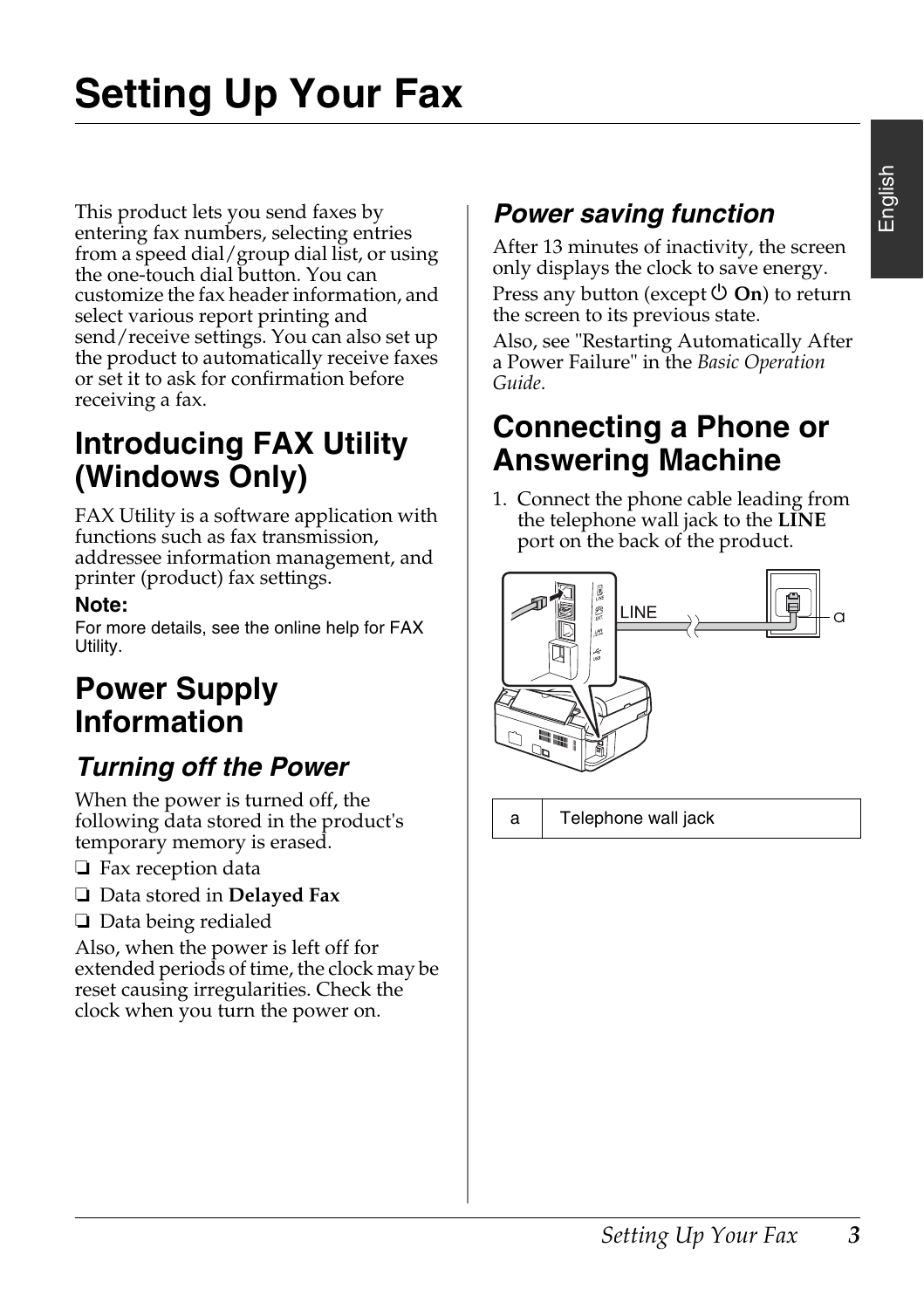This product lets you send faxes by entering fax numbers, selecting entries from a speed dial/group dial list, or using the one-touch dial button. You can customize the fax header information, and select various report printing and send/receive settings. You can also set up the product to automatically receive faxes or set it to ask for confirmation before receiving a fax.

## **Introducing FAX Utility (Windows Only)**

FAX Utility is a software application with functions such as fax transmission, addressee information management, and printer (product) fax settings.

#### **Note:**

For more details, see the online help for FAX Utility.

## **Power Supply Information**

## *Turning off the Power*

When the power is turned off, the following data stored in the product's temporary memory is erased.

- ❏ Fax reception data
- ❏ Data stored in **Delayed Fax**
- ❏ Data being redialed

Also, when the power is left off for extended periods of time, the clock may be reset causing irregularities. Check the clock when you turn the power on.

## *Power saving function*

After 13 minutes of inactivity, the screen only displays the clock to save energy.

Press any button (except  $\circlearrowleft$  **On**) to return the screen to its previous state.

Also, see "Restarting Automatically After a Power Failure" in the *Basic Operation Guide*.

## **Connecting a Phone or Answering Machine**

1. Connect the phone cable leading from the telephone wall jack to the **LINE** port on the back of the product.



a Telephone wall jack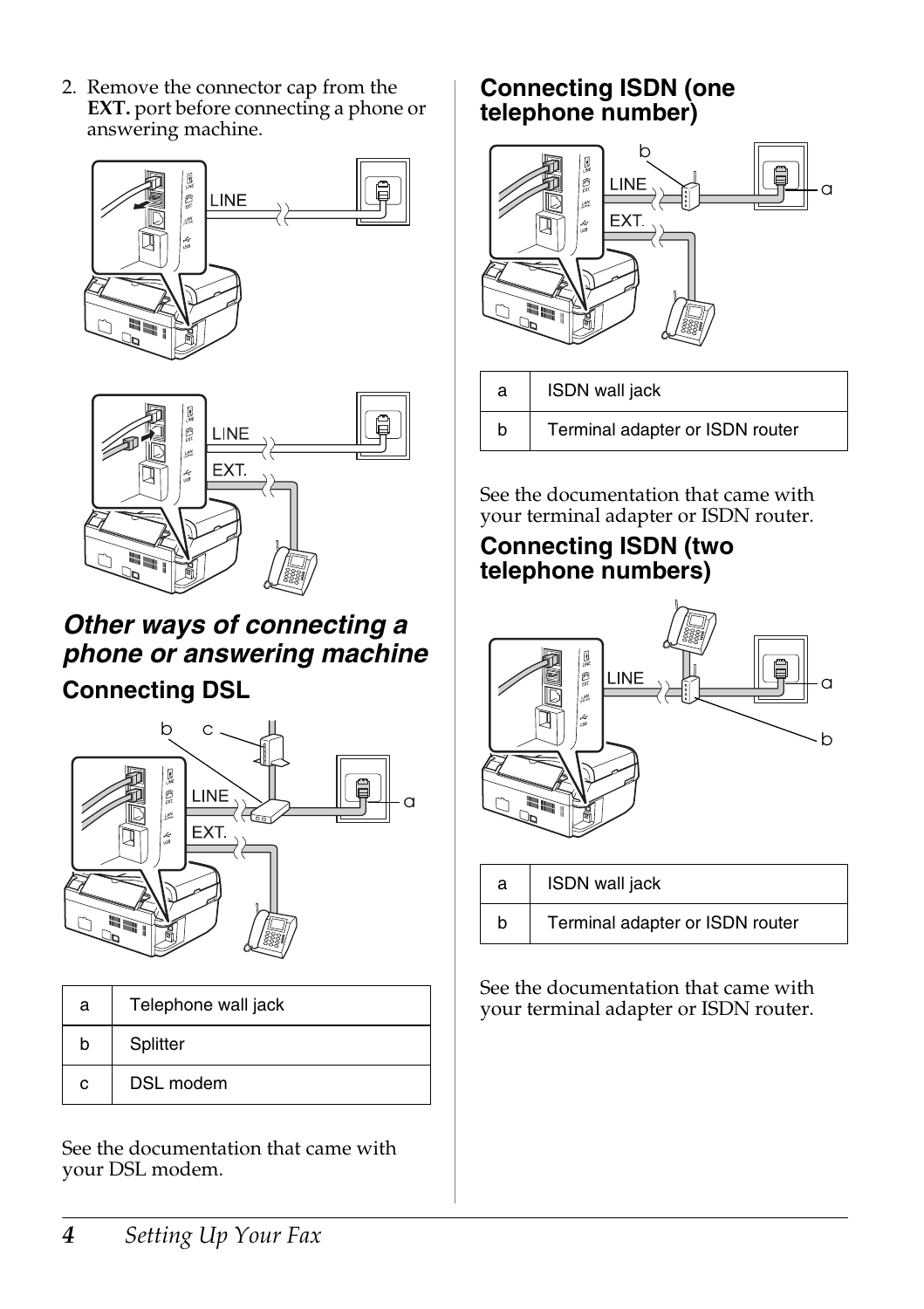2. Remove the connector cap from the **EXT.** port before connecting a phone or answering machine.





## *Other ways of connecting a phone or answering machine*

### **Connecting DSL**



| a | Telephone wall jack |  |  |  |
|---|---------------------|--|--|--|
| b | Splitter            |  |  |  |
| c | DSL modem           |  |  |  |

See the documentation that came with your DSL modem.

### **Connecting ISDN (one telephone number)**



| a | ISDN wall jack                  |  |
|---|---------------------------------|--|
|   | Terminal adapter or ISDN router |  |

See the documentation that came with your terminal adapter or ISDN router.

### **Connecting ISDN (two telephone numbers)**



| а | ISDN wall jack                  |  |  |  |
|---|---------------------------------|--|--|--|
|   | Terminal adapter or ISDN router |  |  |  |

See the documentation that came with your terminal adapter or ISDN router.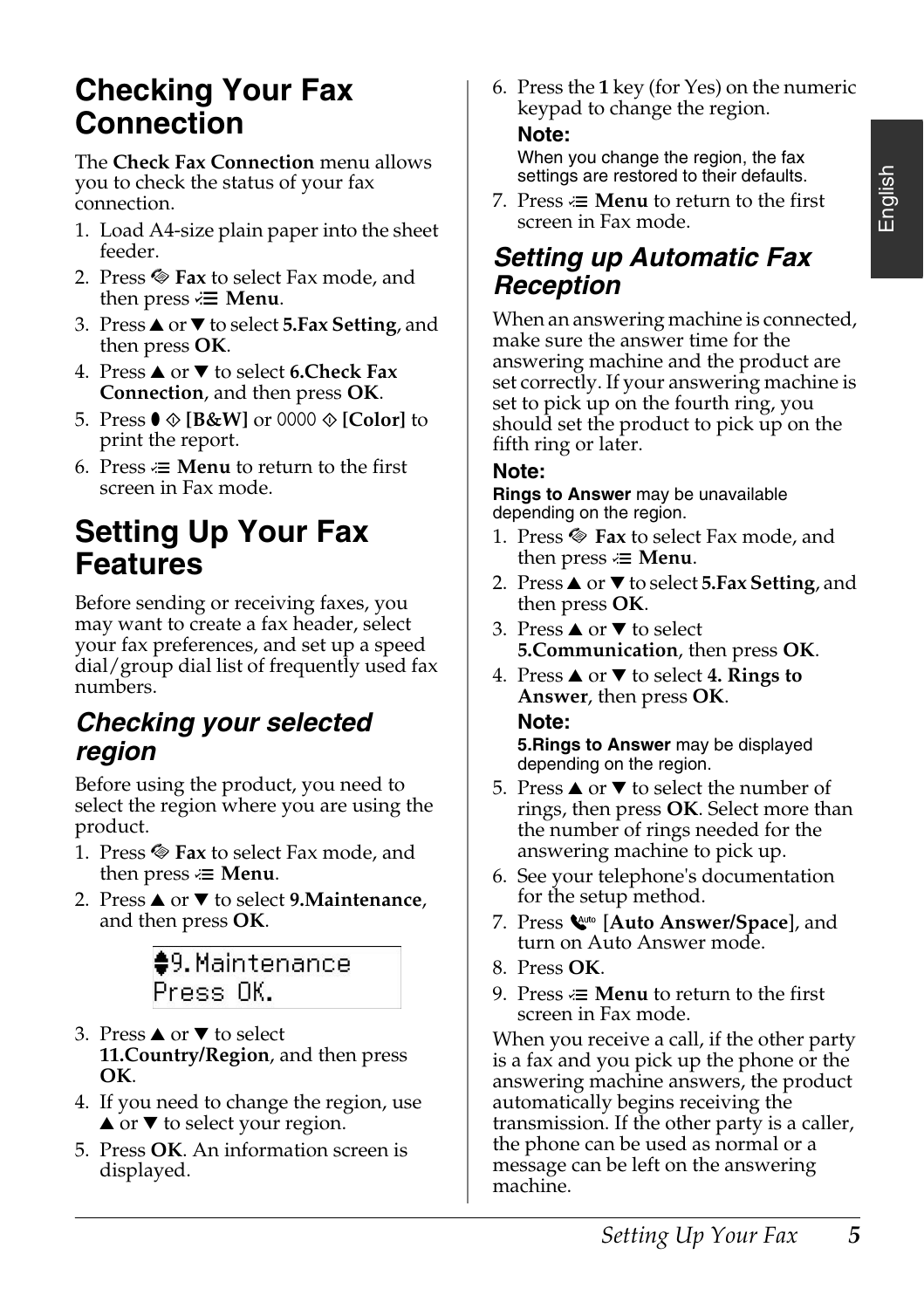## <span id="page-4-0"></span>**Checking Your Fax Connection**

The **Check Fax Connection** menu allows you to check the status of your fax connection.

- 1. Load A4-size plain paper into the sheet feeder.
- 2. Press  $\otimes$  **Fax** to select Fax mode, and then press  $\overline{\mathbf{z}}$  **Menu**.
- 3. Press **▲** or ▼ to select **5.Fax Setting**, and then press **OK**.
- 4. Press **▲** or ▼ to select **6.Check Fax Connection**, and then press **OK**.
- 5. Press  $\bullet$  **© [B&W]** or 0000 **∅ [Color]** to print the report.
- 6. Press  $\equiv$  **Menu** to return to the first screen in Fax mode.

## **Setting Up Your Fax Features**

Before sending or receiving faxes, you may want to create a fax header, select your fax preferences, and set up a speed dial/group dial list of frequently used fax numbers.

### *Checking your selected region*

Before using the product, you need to select the region where you are using the product.

- 1. Press  $\otimes$  Fax to select Fax mode, and then press  $\equiv$  **Menu**.
- 2. Press **△** or ▼ to select **9.Maintenance**, and then press **OK**.

 $<sup>•</sup>9.$  Maintenance</sup> Press OK.

- 3. Press  $\triangle$  or  $\nabla$  to select **11.Country/Region**, and then press **OK**.
- 4. If you need to change the region, use  $\blacktriangle$  or  $\nabla$  to select your region.
- 5. Press **OK**. An information screen is displayed.

6. Press the **1** key (for Yes) on the numeric keypad to change the region.

#### **Note:**

When you change the region, the fax settings are restored to their defaults.

7. Press  $\equiv$  **Menu** to return to the first screen in Fax mode.

### *Setting up Automatic Fax Reception*

When an answering machine is connected, make sure the answer time for the answering machine and the product are set correctly. If your answering machine is set to pick up on the fourth ring, you should set the product to pick up on the fifth ring or later.

#### **Note:**

**Rings to Answer** may be unavailable depending on the region.

- 1. Press  $\otimes$  Fax to select Fax mode, and then press  $\equiv$  **Menu**.
- 2. Press **▲** or ▼ to select **5.Fax Setting**, and then press **OK**.
- 3. Press  $\triangle$  or  $\nabla$  to select **5.Communication**, then press **OK**.
- 4. Press  $\triangle$  or  $\nabla$  to select **4. Rings to Answer**, then press **OK**.

#### **Note:**

**5.Rings to Answer** may be displayed depending on the region.

- 5. Press  $\triangle$  or  $\nabla$  to select the number of rings, then press **OK**. Select more than the number of rings needed for the answering machine to pick up.
- 6. See your telephone's documentation for the setup method.
- 7. Press [**Auto Answer/Space**], and turn on Auto Answer mode.
- 8. Press **OK**.
- 9. Press  $\equiv$  **Menu** to return to the first screen in Fax mode.

When you receive a call, if the other party is a fax and you pick up the phone or the answering machine answers, the product automatically begins receiving the transmission. If the other party is a caller, the phone can be used as normal or a message can be left on the answering machine.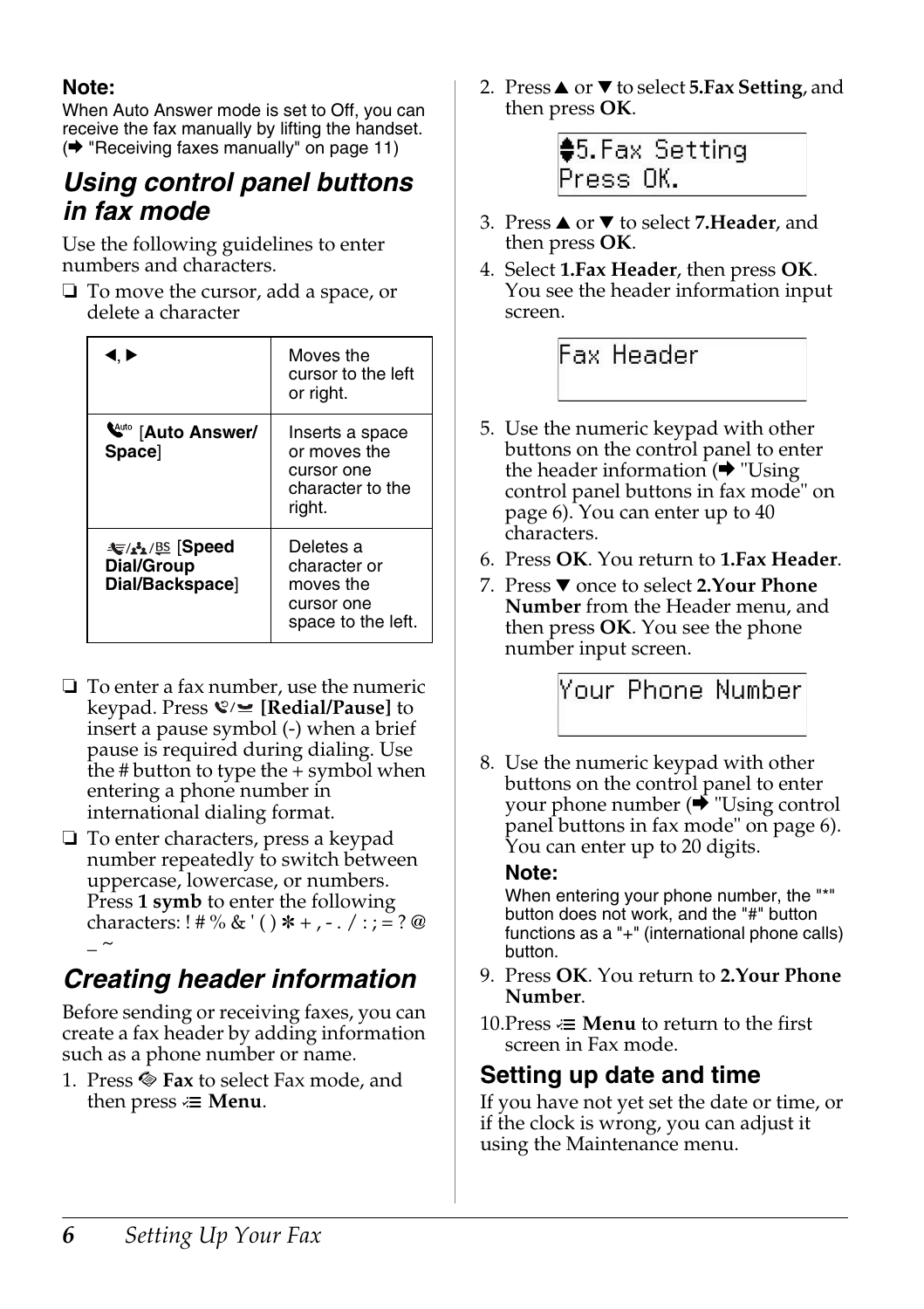#### <span id="page-5-0"></span>**Note:**

When Auto Answer mode is set to Off, you can receive the fax manually by lifting the handset. (→ "Receiving faxes manually" on page 11)

### *Using control panel buttons in fax mode*

Use the following guidelines to enter numbers and characters.

❏ To move the cursor, add a space, or delete a character

| I.D                                              | Moves the<br>cursor to the left<br>or right.                                |
|--------------------------------------------------|-----------------------------------------------------------------------------|
| <b>W</b> <sup>4uto</sup> [Auto Answer/<br>Space] | Inserts a space<br>or moves the<br>cursor one<br>character to the<br>right. |
| ા Speed<br>Dial/Group<br>Dial/Backspace]         | Deletes a<br>character or<br>moves the<br>cursor one<br>space to the left.  |

- ❏ To enter a fax number, use the numeric keypad. Press *©* ∕ **E** [Redial/Pause] to insert a pause symbol (-) when a brief pause is required during dialing. Use the # button to type the + symbol when entering a phone number in international dialing format.
- ❏ To enter characters, press a keypad number repeatedly to switch between uppercase, lowercase, or numbers. Press **1 symb** to enter the following characters: ! # % & ' ( ) \* + , - . / : ; = ? @  $\sim$

## *Creating header information*

Before sending or receiving faxes, you can create a fax header by adding information such as a phone number or name.

1. Press  $\otimes$  **Fax** to select Fax mode, and then press  $\equiv$  **Menu**.

2. Press **▲** or ▼ to select **5.Fax Setting**, and then press **OK**.



- 3. Press **▲** or ▼ to select **[7.Header](#page-5-0)**, and [then pr](#page-5-0)ess **OK**.
- 4. Select **1.Fax Header**, then press **OK**. You see the header information input screen.

Fax Header

- 5. Use the numeric keypad with other buttons on the control panel to enter the header information  $(\rightarrow$  "Using" control panel buttons in fax mode" on page 6). You can enter [up to 40](#page-5-0)  characters.
- 6. Press **OK**[. You return to](#page-5-0) **1.Fax Header**.
- 7. Press ▼ once to select **2.Your Phone Number** from the Header menu, and then press **OK**. You see the phone number input screen.

## Your Phone Number

8. Use the numeric keypad with other buttons on the control panel to enter your phone number  $(\bigstar$  "Using control panel buttons in fax mode" on page 6). You can enter up to 20 digits.

#### **Note:**

When entering your phone number, the "\*" button does not work, and the "#" button functions as a "+" (international phone calls) button.

- 9. Press **OK**. You return to **2.Your Phone Number**.
- 10. Press  $\equiv$  **Menu** to return to the first screen in Fax mode.

#### **Setting up date and time**

If you have not yet set the date or time, or if the clock is wrong, you can adjust it using the Maintenance menu.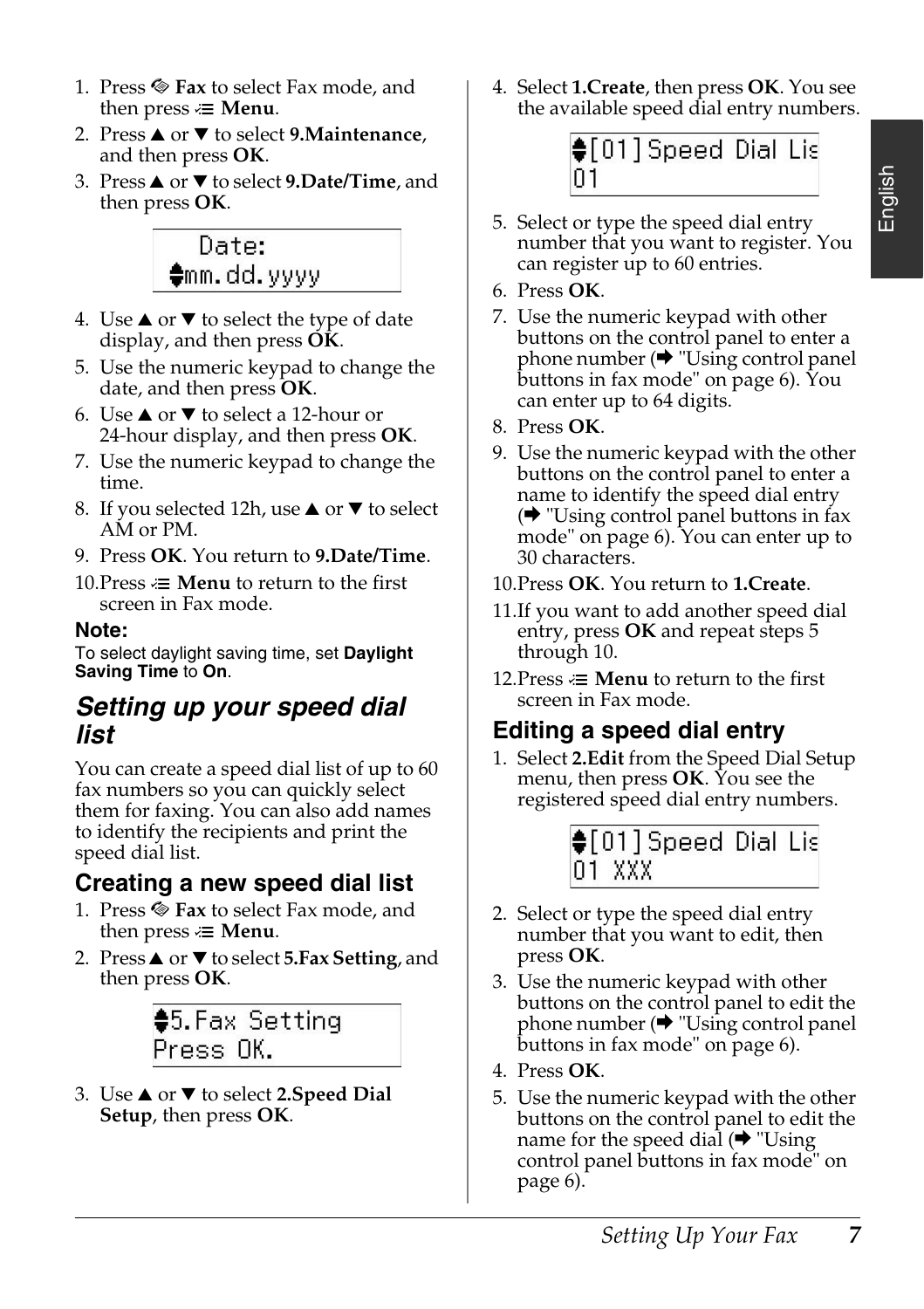- 1. Press  $\otimes$  **Fax** to select Fax mode, and then press  $\equiv$  **Menu**.
- 2. Press **△** or ▼ to select **9.Maintenance**, and then press **OK**.
- 3. Press **▲** or ▼ to select 9.Date/Time, and then press **OK**.



- 4. Use  $\blacktriangle$  or  $\nabla$  to select the type of date display, and then press **OK**.
- 5. Use the numeric keypad to change the date, and then press **OK**.
- 6. Use  $\triangle$  or  $\nabla$  to select a 12-hour or 24-hour display, and then press **OK**.
- 7. Use the numeric keypad to change the time.
- 8. If you selected 12h, use  $\blacktriangle$  or  $\nabla$  to select AM or PM.
- 9. Press **OK**. You return to **9.Date/Time**.
- 10. Press  $\equiv$  **Menu** to return to the first screen in Fax mode.

#### **Note:**

To select daylight saving time, set **Daylight Saving Time** to **On**.

#### *Setting up your speed dial list*

You can create a speed dial list of up to 60 fax numbers so you can quickly select them for faxing. You can also add names to identify the recipients and print the speed dial list.

### **Creating a new speed dial list**

- 1. Press  $\otimes$  **Fax** to select Fax mode, and then press  $\equiv$  **Menu**.
- 2. Press **▲** or ▼ to select **5.Fax Setting**, and then press **OK**.

♦5.Fax Setting Press OK.

3. Use **▲** or ▼ to select 2.Speed Dial **Setup**, then press **OK**.

4. Select **1.Create**, then press **OK**[. You see](#page-5-0)  [the available speed dial entry nu](#page-5-0)mbers.



- 5. Select or type the speed dial entry nu[mber that you want to register. You](#page-5-0)  [can register up to](#page-5-0) 60 entries.
- 6. Press **OK**.
- 7. Use the numeric keypad with other buttons on the control panel to enter a phone number  $(\rightarrow$  "Using control panel buttons in fax mode" on page 6). You can enter up to 64 digits.
- 8. Press **OK**.
- 9. Use the numeric keypad with the other buttons on the control panel to enter a name to identify the speed dial entry  $\rightarrow$  "Using control panel buttons in fax mode" on page 6). You can enter up to 30 characters.
- 10.Press **OK**. You return to **1.Create**.
- 11.If you want to add another speed dial entry, press **OK** and repeat steps 5 through 10.
- 12. Press  $\equiv$  **Menu** to return to the first screen in Fax mode.

### **Editing a speed dial entry**

1. Select **2.Edit** from [the Speed Dial Setup](#page-5-0)  [menu, then press](#page-5-0) **OK**. You see the registered speed dial entry numbers.



- [2. Select o](#page-5-0)r type the speed dial entry number that you want to edit, then press **OK**.
- 3. Use the numeric keypad with other buttons on the control panel to edit the phone number  $(\rightarrow$  "Using control panel" buttons in fax mode" on page 6).
- 4. Press **OK**.
- 5. Use the numeric keypad with the other buttons on the control panel to edit the name for the speed dial  $(\rightarrow$  "Using" control panel buttons in fax mode" on page 6).

English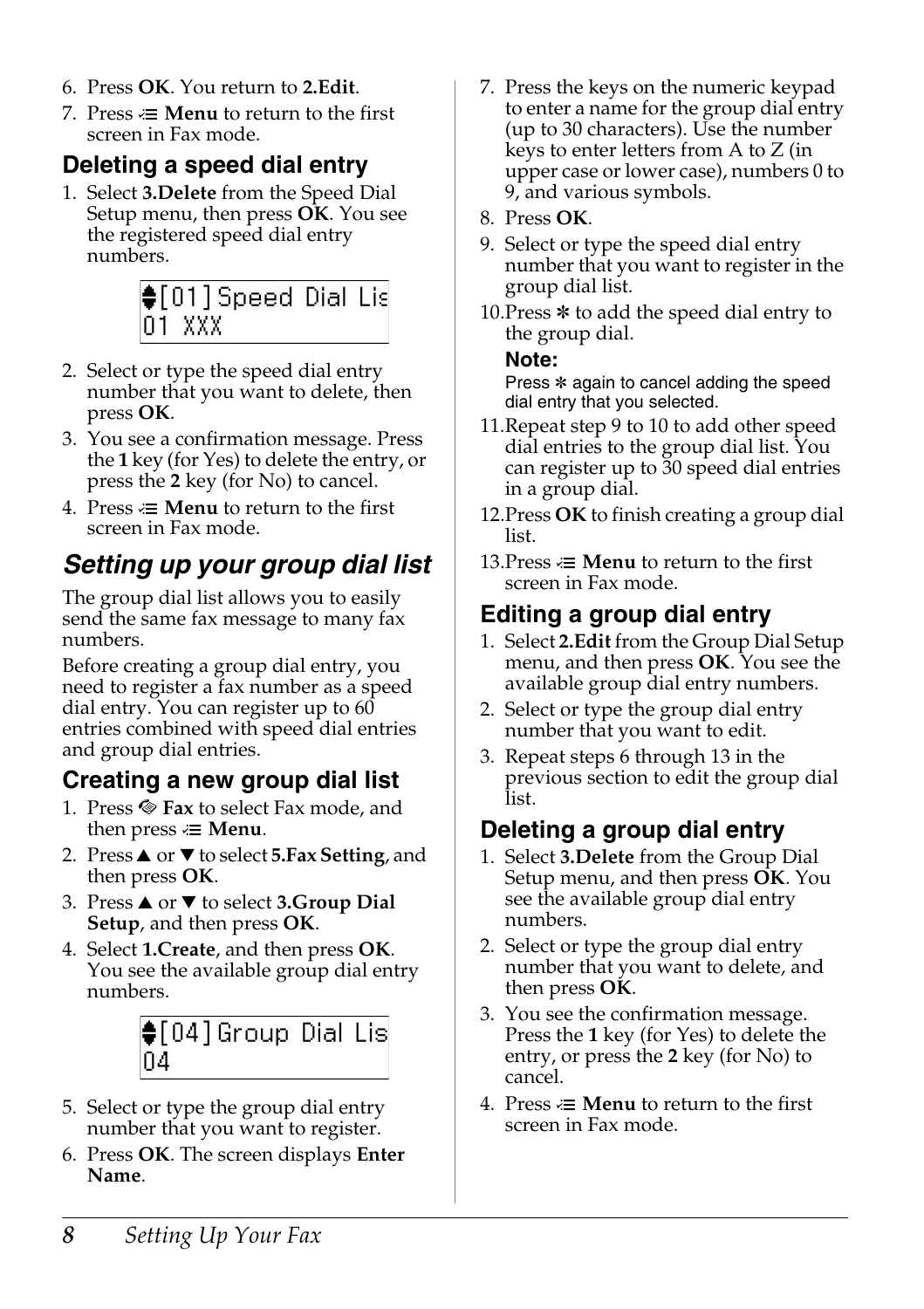- 6. Press **OK**. You return to **2.Edit**.
- 7. Press  $\equiv$  **Menu** to return to the first screen in Fax mode.

## **Deleting a speed dial entry**

1. Select **3.Delete** from the Speed Dial Setup menu, then press **OK**. You see the registered speed dial entry numbers.



- 2. Select or type the speed dial entry number that you want to delete, then press **OK**.
- 3. You see a confirmation message. Press the **1** key (for Yes) to delete the entry, or press the **2** key (for No) to cancel.
- 4. Press  $\equiv$  **Menu** to return to the first screen in Fax mode.

## *Setting up your group dial list*

The group dial list allows you to easily send the same fax message to many fax numbers.

Before creating a group dial entry, you need to register a fax number as a speed dial entry. You can register up to 60 entries combined with speed dial entries and group dial entries.

### **Creating a new group dial list**

- 1. Press  $\otimes$  **Fax** to select Fax mode, and then press  $\equiv$  **Menu**.
- 2. Press  $\triangle$  or  $\nabla$  to select **5.Fax Setting**, and then press **OK**.
- 3. Press **▲** or ▼ to select **3.Group Dial Setup**, and then press **OK**.
- 4. Select **1.Create**, and then press **OK**. You see the available group dial entry numbers.



- 5. Select or type the group dial entry number that you want to register.
- 6. Press **OK**. The screen displays **Enter Name**.
- 7. Press the keys on the numeric keypad to enter a name for the group dial entry (up to 30 characters). Use the number keys to enter letters from A to Z (in upper case or lower case), numbers 0 to 9, and various symbols.
- 8. Press **OK**.
- 9. Select or type the speed dial entry number that you want to register in the group dial list.
- 10. Press  $*$  to add the speed dial entry to the group dial.

#### **Note:**

Press  $*$  again to cancel adding the speed dial entry that you selected.

- 11.Repeat step 9 to 10 to add other speed dial entries to the group dial list. You can register up to 30 speed dial entries in a group dial.
- 12.Press **OK** to finish creating a group dial list.
- 13. Press  $\equiv$  **Menu** to return to the first screen in Fax mode.

## **Editing a group dial entry**

- 1. Select **2.Edit** from the Group Dial Setup menu, and then press **OK**. You see the available group dial entry numbers.
- 2. Select or type the group dial entry number that you want to edit.
- 3. Repeat steps 6 through 13 in the previous section to edit the group dial list.

### **Deleting a group dial entry**

- 1. Select **3.Delete** from the Group Dial Setup menu, and then press **OK**. You see the available group dial entry numbers.
- 2. Select or type the group dial entry number that you want to delete, and then press **OK**.
- 3. You see the confirmation message. Press the **1** key (for Yes) to delete the entry, or press the **2** key (for No) to cancel.
- 4. Press  $\equiv$  **Menu** to return to the first screen in Fax mode.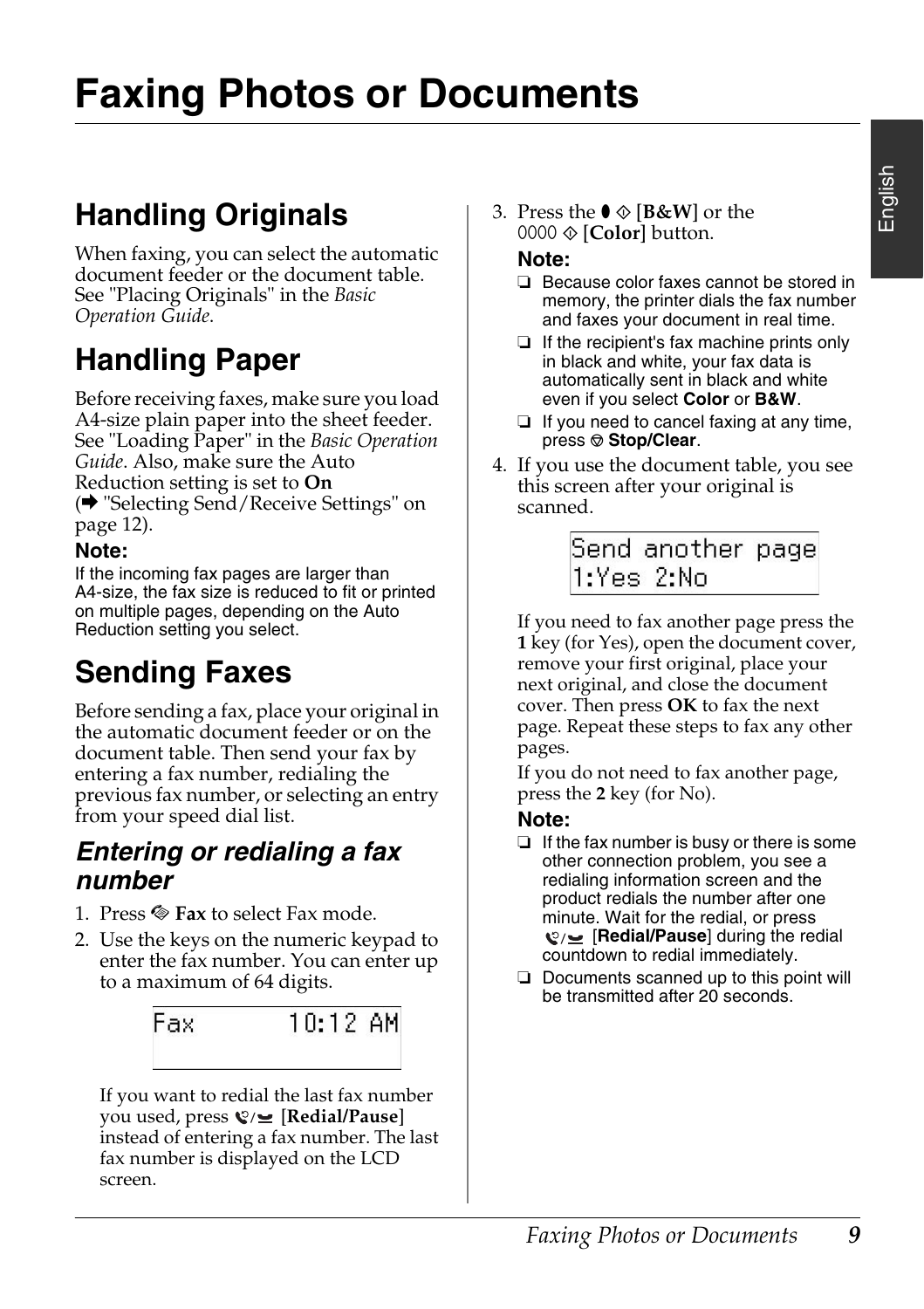# <span id="page-8-1"></span><span id="page-8-0"></span>**Faxing Photos or Documents**

## **H[andling Originals](#page-11-0)**

[When fa](#page-11-0)xing, you can select the automatic document feeder or the document table. See "Placing Originals" in the *Basic Operation Guide*.

## **Handling Paper**

<span id="page-8-2"></span>Before receiving faxes, make sure you load A4-size plain paper into the sheet feeder. See "Loading Paper" in the *Basic Operation Guide*. Also, make sure the Auto Reduction setting is set to **On** (→ "Selecting Send/Receive Settings" on page 12).

#### **Note:**

<span id="page-8-3"></span>If the incoming fax pages are larger than A4-size, the fax size is reduced to fit or printed on multiple pages, depending on the Auto Reduction setting you select.

## **Sending Faxes**

Before sending a fax, place your original in the automatic document feeder or on the document table. Then send your fax by entering a fax number, redialing the previous fax number, or selecting an entry from your speed dial list.

### *Entering or redialing a fax number*

- 1. Press  $\otimes$  **Fax** to select Fax mode.
- 2. Use the keys on the numeric keypad to enter the fax number. You can enter up to a maximum of 64 digits.



If you want to redial the last fax number you used, press [**Redial/Pause**] instead of entering a fax number. The last fax number is displayed on the LCD screen.

3. Press the  $\bullet \otimes$  [**B&W**] or the  $0000 \otimes$  [**Color**] button.

#### **Note:**

- ❏ Because color faxes cannot be stored in memory, the printer dials the fax number and faxes your document in real time.
- ❏ If the recipient's fax machine prints only in black and white, your fax data is automatically sent in black and white even if you select **Color** or **B&W**.
- ❏ If you need to cancel faxing at any time, press  $\otimes$  **Stop/Clear.**
- 4. If you use the document table, you see this screen after your original is scanned.

Send another page 1:Yes 2:No

If you need to fax another page press the **1** key (for Yes), open the document cover, remove your first original, place your next original, and close the document cover. Then press **OK** to fax the next page. Repeat these steps to fax any other pages.

If you do not need to fax another page, press the **2** key (for No).

#### **Note:**

- ❏ If the fax number is busy or there is some other connection problem, you see a redialing information screen and the product redials the number after one minute. Wait for the redial, or press **Q**/**<u></u> [Redial/Pause] during the redial** countdown to redial immediately.
- ❏ Documents scanned up to this point will be transmitted after 20 seconds.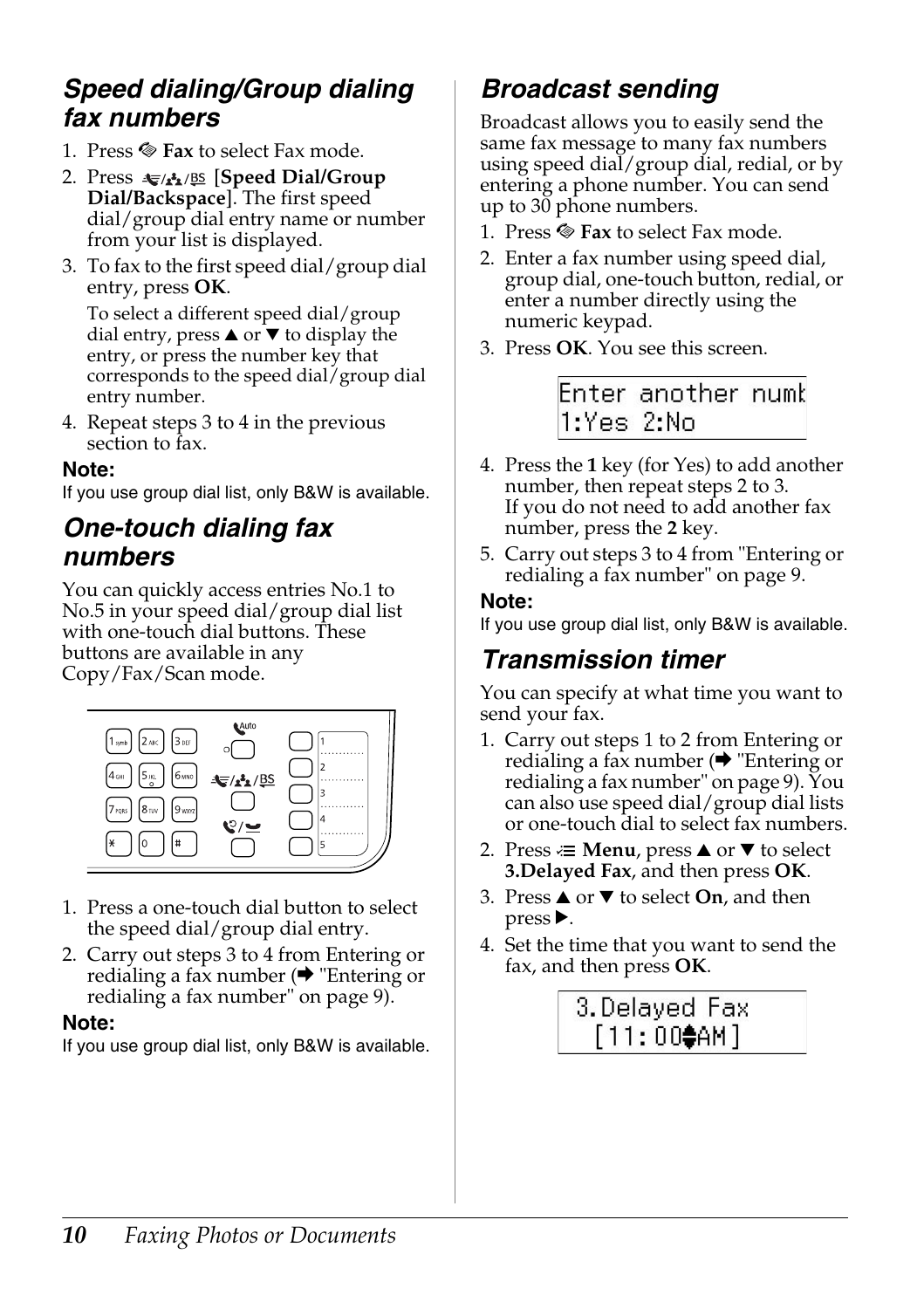### *Speed dialing/Group dialing fax numbers*

- 1. Press  $\otimes$  **Fax** to select Fax mode.
- 2. Press  $\leftarrow$  **A**<sub>1</sub>/BS</sub> [Speed Dial/Group **Dial/Backspace**]. The first speed dial/group dial entry name or number from your list is displayed.
- 3. To fax to the first speed dial/group dial entry, press **OK**.

To select a different speed dial/group dial entry, press  $\triangle$  or  $\nabla$  to display the entry, or press the number key that corresponds to the speed dial/group dial entry number.

4. Repeat steps 3 to 4 in the previous section to fax.

#### **Note:**

If you use group dial list, only B&W is available.

### *One-touch dialing fax numbers*

You can quickly access entries No.1 to No.5 in your speed dial/group dial list with one-touch dial buttons. These buttons are available in any Copy/Fax/Scan mode.



- 1. Press a one-touch dial button to select the speed dial/group dial entry.
- 2. Carry out steps 3 to 4 from Entering or redialing a fax number  $(\rightarrow$  "Entering or redialing a fax number" on page 9).

#### **Note:**

If you use group dial list, only B&W is available.

## *Broadcast sending*

Broadcast allows you to easily send the same fax message to many fax numbers using speed dial/group dial, redial, or by entering a phone number. You can send up to 30 phone numbers.

- 1. Press  $\otimes$  **Fax** to select Fax mode.
- 2. Enter a fax number using speed dial, group dial, one-touch butt[on, redial, or](#page-8-3)  [enter a number directly using the](#page-8-3)  numeric keypad.
- 3. Press **OK**. You see this screen.

Enter another numl 1:Yes 2:No

- 4. Press the **1** key (for Yes) to add another number, then repeat steps [2 to 3.](#page-8-3) [If you do not need to add another](#page-8-3) fax number, press the **2** key.
- 5. Carry out steps 3 to 4 from "Entering or redialing a fax number" on page 9.

#### **Note:**

If you use group dial list, only B&W is available.

### *Transmission timer*

You can specify at what time you want to send your fax.

- 1. Carry out steps 1 to 2 from Entering or redialing a fax number  $(\blacktriangleright$  "Entering or redialing a fax number" on page 9). You can also use speed dial/group dial lists or one-touch dial to select fax numbers.
- 2. Press  $\equiv$  **Menu**, press  $\triangle$  or  $\nabla$  to select **3.Delayed Fax**, and then press **OK**.
- 3. Press  $\triangle$  or  $\nabla$  to select **On**, and then  $pres$ .
- 4. Set the time that you want to send the fax, and then press **OK**.

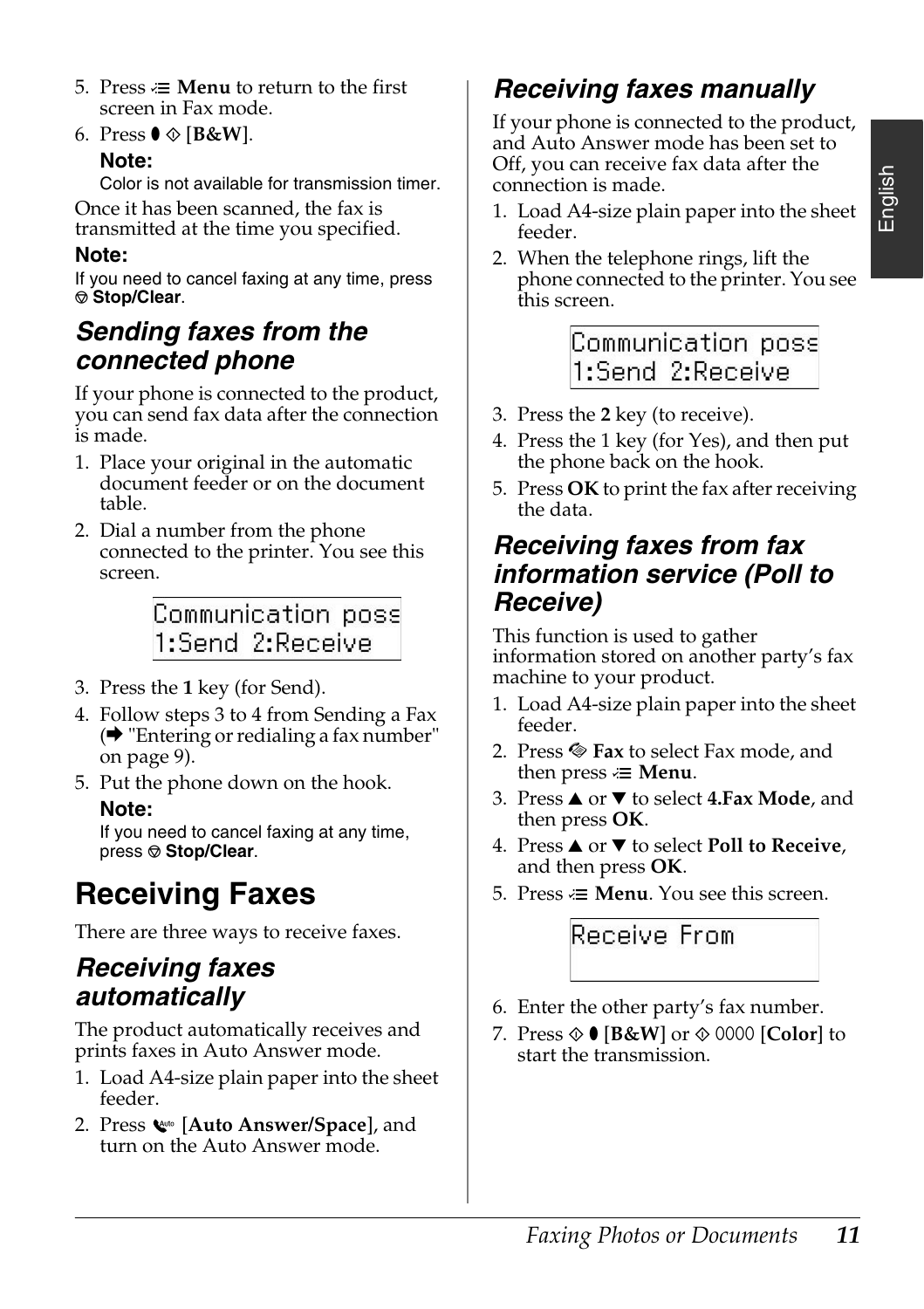- 5. Press  $\equiv$  **Menu** to return to the first screen in Fax mode.
- 6. Press  $\mathbf{0} \otimes [\mathbf{B} \& \mathbf{W}]$ .

#### **Note:**

Color is not available for transmission timer. Once it has been scanned, the fax is transmitted at the time you specified.

#### **Note:**

If you need to cancel faxing at any time, press y **Stop/Clear**.

### *Sending faxes from the connected phone*

If your phone is connected to the product, you can send fax data after the connection is made.

- 1. Pla[ce your original in the automatic](#page-8-3)  [document](#page-8-3) feeder or on the document table.
- 2. Dial a number from the phone connected to the printer. You see this screen.

Communication poss 1:Send 2:Receive

- 3. Press the **1** key (for Send).
- 4. Follow steps 3 to 4 from Sending a Fax  $\leftrightarrow$  "Entering or redialing a fax number" on page 9).
- 5. Put the phone down on the hook. **Note:**

If you need to cancel faxing at any time, press  $\otimes$  **Stop/Clear.** 

## **Receiving Faxes**

There are three ways to receive faxes.

### *Receiving faxes automatically*

The product automatically receives and prints faxes in Auto Answer mode.

- 1. Load A4-size plain paper into the sheet feeder.
- 2. Press [**Auto Answer/Space**], and turn on the Auto Answer mode.

### *Receiving faxes manually*

If your phone is connected to the product, and Auto Answer mode has been set to Off, you can receive fax data after the connection is made.

- 1. Load A4-size plain paper into the sheet feeder.
- 2. When the telephone rings, lift the phone connected to the printer. You see this screen.

Communication poss 1:Send 2:Receive

- 3. Press the **2** key (to receive).
- 4. Press the 1 key (for Yes), and then put the phone back on the hook.
- 5. Press **OK** to print the fax after receiving the data.

### *Receiving faxes from fax information service (Poll to Receive)*

This function is used to gather information stored on another party's fax machine to your product.

- 1. Load A4-size plain paper into the sheet feeder.
- 2. Press  $\otimes$  Fax to select Fax mode, and then press  $\equiv$  **Menu**.
- 3. Press **▲** or ▼ to select 4.Fax Mode, and then press **OK**.
- 4. Press **△** or ▼ to select **Poll to Receive**, and then press **OK**.
- 5. Press  $\equiv$  **Menu**. You see this screen.

### Receive From

- 6. Enter the other party's fax number.
- 7. Press  $\hat{\diamond}$   $\bullet$  [**B&W**] or  $\hat{\diamond}$  0000 [**Color**] to start the transmission.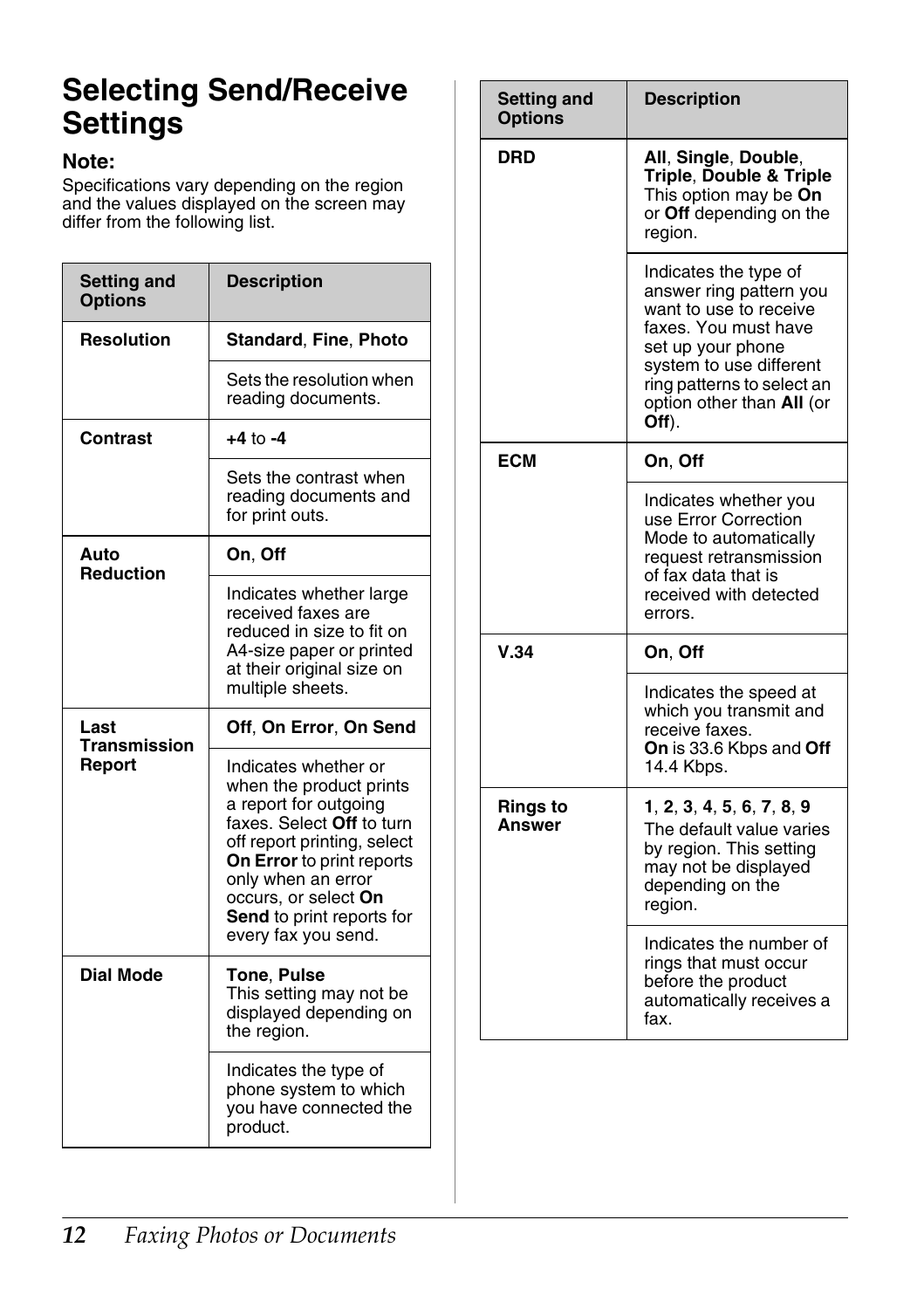## <span id="page-11-1"></span><span id="page-11-0"></span>**Selecting Send/Receive Settings**

#### **Note:**

Specifications vary depending on the region and the values displayed on the screen may differ from the following list.

| <b>Setting and</b><br><b>Options</b> | <b>Description</b>                                                                                                                                                                                                                                                  |
|--------------------------------------|---------------------------------------------------------------------------------------------------------------------------------------------------------------------------------------------------------------------------------------------------------------------|
| <b>Resolution</b>                    | <b>Standard, Fine, Photo</b>                                                                                                                                                                                                                                        |
|                                      | Sets the resolution when<br>reading documents.                                                                                                                                                                                                                      |
| Contrast                             | $+4$ to $-4$                                                                                                                                                                                                                                                        |
|                                      | Sets the contrast when<br>reading documents and<br>for print outs.                                                                                                                                                                                                  |
| Auto<br><b>Reduction</b>             | On, Off                                                                                                                                                                                                                                                             |
|                                      | Indicates whether large<br>received faxes are<br>reduced in size to fit on<br>A4-size paper or printed<br>at their original size on<br>multiple sheets.                                                                                                             |
| Last<br>Transmission<br>Report       | Off. On Error. On Send                                                                                                                                                                                                                                              |
|                                      | Indicates whether or<br>when the product prints<br>a report for outgoing<br>faxes. Select Off to turn<br>off report printing, select<br>On Error to print reports<br>only when an error<br>occurs, or select On<br>Send to print reports for<br>every fax you send. |
| <b>Dial Mode</b>                     | <b>Tone. Pulse</b><br>This setting may not be<br>displayed depending on<br>the region.                                                                                                                                                                              |
|                                      | Indicates the type of<br>phone system to which<br>you have connected the<br>product.                                                                                                                                                                                |

| <b>Setting and</b><br><b>Options</b> | <b>Description</b>                                                                                                                                                                                                     |
|--------------------------------------|------------------------------------------------------------------------------------------------------------------------------------------------------------------------------------------------------------------------|
| DRD                                  | All, Single, Double,<br>Triple, Double & Triple<br>This option may be On<br>or Off depending on the<br>region.                                                                                                         |
|                                      | Indicates the type of<br>answer ring pattern you<br>want to use to receive<br>faxes. You must have<br>set up your phone<br>system to use different<br>ring patterns to select an<br>option other than All (or<br>Off). |
| <b>ECM</b>                           | On, Off                                                                                                                                                                                                                |
|                                      | Indicates whether you<br>use Error Correction<br>Mode to automatically<br>request retransmission<br>of fax data that is<br>received with detected<br>errors.                                                           |
| V.34                                 | On. Off                                                                                                                                                                                                                |
|                                      | Indicates the speed at<br>which you transmit and<br>receive faxes.<br>On is 33.6 Kbps and Off<br>14.4 Kbps.                                                                                                            |
| Rings to<br>Answer                   | 1, 2, 3, 4, 5, 6, 7, 8, 9<br>The default value varies<br>by region. This setting<br>may not be displayed<br>depending on the<br>region.                                                                                |
|                                      | Indicates the number of<br>rings that must occur<br>before the product<br>automatically receives a<br>fax.                                                                                                             |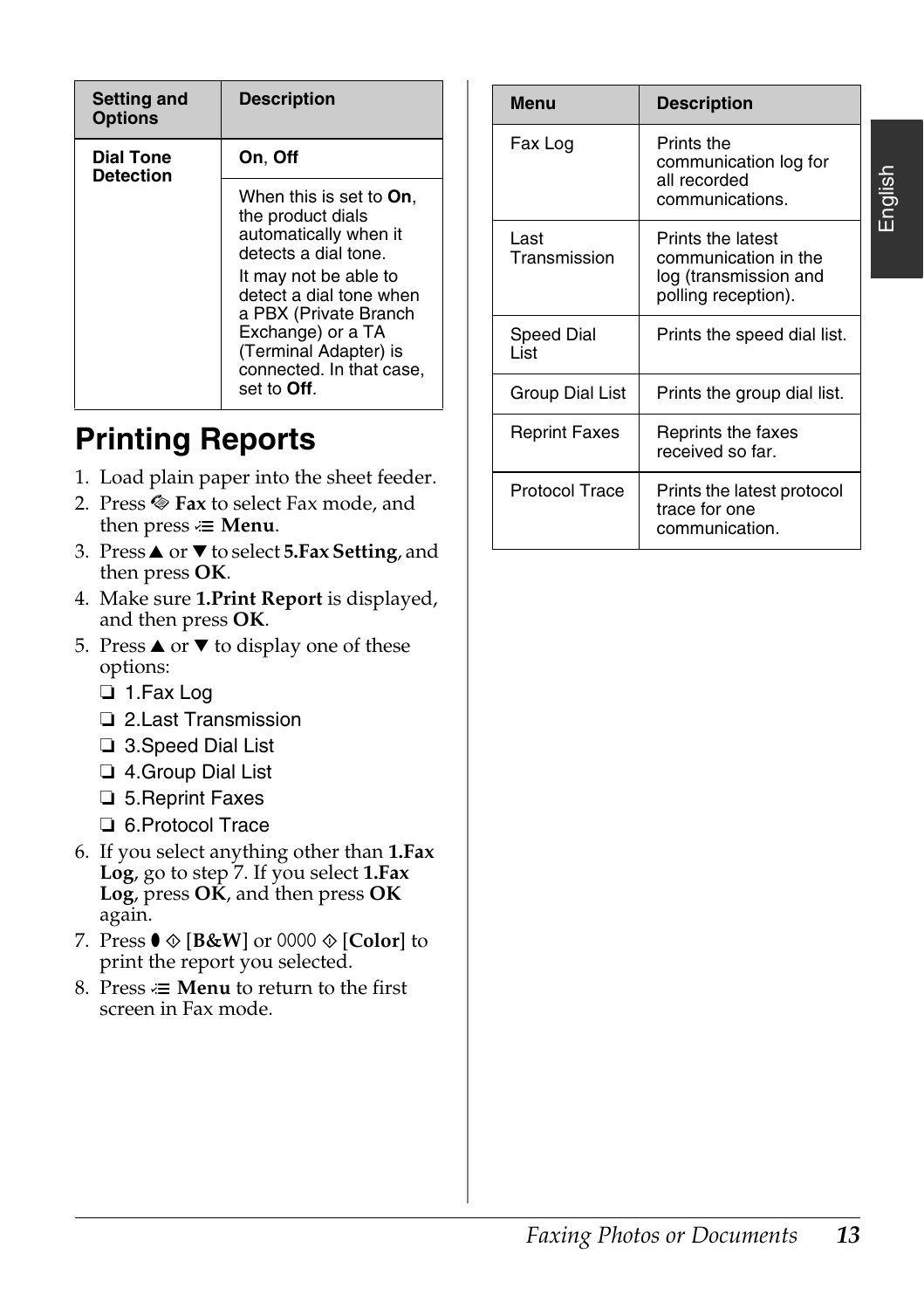| <b>Setting and</b><br><b>Options</b> | <b>Description</b>                                                                                                                                                                                                                                                  |
|--------------------------------------|---------------------------------------------------------------------------------------------------------------------------------------------------------------------------------------------------------------------------------------------------------------------|
| <b>Dial Tone</b><br><b>Detection</b> | On, Off                                                                                                                                                                                                                                                             |
|                                      | When this is set to On,<br>the product dials<br>automatically when it<br>detects a dial tone.<br>It may not be able to<br>detect a dial tone when<br>a PBX (Private Branch<br>Exchange) or a TA<br>(Terminal Adapter) is<br>connected. In that case,<br>set to Off. |

## <span id="page-12-0"></span>**Printing Reports**

- 1. Load plain paper into the sheet feeder.
- 2. Press  $\otimes$  Fax to select Fax mode, and then press  $\equiv$  **Menu**.
- 3. Press▲ or ▼ to select **5.Fax Setting**, and then press **OK**.
- 4. Make sure **1.Print Report** is displayed, and then press **OK**.
- 5. Press  $\triangle$  or  $\nabla$  to display one of these options:
	- ❏ 1.Fax Log
	- ❏ 2.Last Transmission
	- ❏ 3.Speed Dial List
	- ❏ 4.Group Dial List
	- ❏ 5.Reprint Faxes
	- ❏ 6.Protocol Trace
- 6. If you select anything other than **1.Fax Log**, go to step 7. If you select **1.Fax Log**, press **OK**, and then press **OK** again.
- 7. Press  $\bullet \otimes [\mathbf{B} \& \mathbf{W}]$  or 0000  $\otimes [\mathbf{Color}]$  to print the report you selected.
- 8. Press  $\equiv$  **Menu** to return to the first screen in Fax mode.

| <b>Description</b>                                                                                                                                                                                                                                                                  |                       | <b>Menu</b>                                                   | <b>Description</b>                                  |
|-------------------------------------------------------------------------------------------------------------------------------------------------------------------------------------------------------------------------------------------------------------------------------------|-----------------------|---------------------------------------------------------------|-----------------------------------------------------|
| On. Off                                                                                                                                                                                                                                                                             |                       | Fax Log                                                       | Prints the<br>communication log for<br>all recorded |
| When this is set to <b>On</b> .<br>the product dials<br>automatically when it<br>detects a dial tone.<br>It may not be able to<br>detect a dial tone when<br>a PBX (Private Branch<br>Exchange) or a TA<br>(Terminal Adapter) is<br>connected. In that case,<br>set to <b>Off</b> . |                       |                                                               | communications.                                     |
|                                                                                                                                                                                                                                                                                     |                       | Last<br>Transmission                                          | Prints the latest<br>communication in the           |
|                                                                                                                                                                                                                                                                                     |                       |                                                               | log (transmission and<br>polling reception).        |
|                                                                                                                                                                                                                                                                                     |                       | Speed Dial<br>List                                            | Prints the speed dial list.                         |
|                                                                                                                                                                                                                                                                                     | Group Dial List       | Prints the group dial list.                                   |                                                     |
| ports<br>r into the sheet feeder.<br>elect Fax mode, and<br>enu.                                                                                                                                                                                                                    | <b>Reprint Faxes</b>  | Reprints the faxes<br>received so far.                        |                                                     |
|                                                                                                                                                                                                                                                                                     | <b>Protocol Trace</b> | Prints the latest protocol<br>trace for one<br>communication. |                                                     |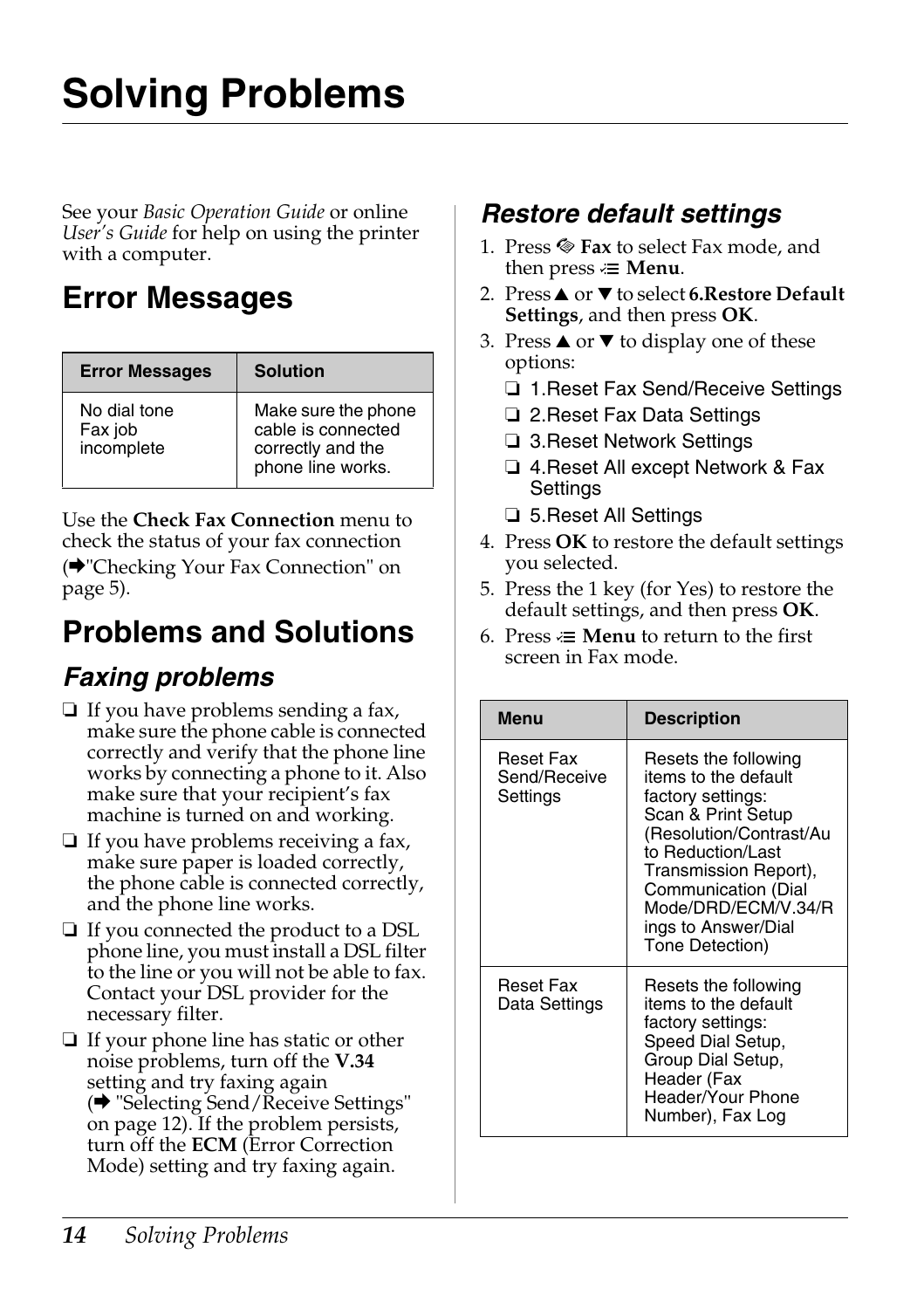# <span id="page-13-1"></span><span id="page-13-0"></span>**Solving Problems**

See your *Basic Operation Guide* or online *User's Guide* for help on using the printer with a computer.

## **[Error Messages](#page-4-0)**

<span id="page-13-2"></span>

| <b>Error Messages</b>                 | <b>Solution</b>                                                                     |
|---------------------------------------|-------------------------------------------------------------------------------------|
| No dial tone<br>Fax job<br>incomplete | Make sure the phone<br>cable is connected<br>correctly and the<br>phone line works. |

Use the **Check Fax Connection** menu to check the status of your fax connection

(<sup>→</sup>"Checking Your Fax Connection" on page 5).

## **Problems and Solutions**

## *Faxing problems*

- ❏ If you have problems sending a fax, make sure the phone cable is connected correctly and verify that the phone line works by connecting a phone to it. Also make sure that your recipient's fax machine is turned on and working.
- ❏ [If you have problems receiving a fax,](#page-11-1)  make sure paper is loaded correctly, the phone cable is connected correctly, and the phone line works.
- ❏ If you connected the product to a DSL phone line, you must install a DSL filter to the line or you will not be able to fax. Contact your DSL provider for the necessary filter.
- ❏ If your phone line has static or other noise problems, turn off the **V.34** setting and try faxing again (→ "Selecting Send/Receive Settings" on page 12). If the problem persists, turn off the **ECM** (Error Correction Mode) setting and try faxing again.

### *Restore default settings*

- 1. Press  $\otimes$  **Fax** to select Fax mode, and then press  $\equiv$  **Menu**.
- 2. Press▲ or ▼ to select **6.Restore Default Settings**, and then press **OK**.
- 3. Press  $\triangle$  or  $\nabla$  to display one of these options:
	- ❏ 1.Reset Fax Send/Receive Settings
	- ❏ 2.Reset Fax Data Settings
	- ❏ 3.Reset Network Settings
	- ❏ 4.Reset All except Network & Fax Settings
	- ❏ 5.Reset All Settings
- 4. Press **OK** to restore the default settings you selected.
- 5. Press the 1 key (for Yes) to restore the default settings, and then press **OK**.
- 6. Press  $\equiv$  **Menu** to return to the first screen in Fax mode.

| <b>Menu</b>                           | <b>Description</b>                                                                                                                                                                                                                                       |
|---------------------------------------|----------------------------------------------------------------------------------------------------------------------------------------------------------------------------------------------------------------------------------------------------------|
| Reset Fax<br>Send/Receive<br>Settings | Resets the following<br>items to the default<br>factory settings:<br>Scan & Print Setup<br>(Resolution/Contrast/Au<br>to Reduction/Last<br>Transmission Report),<br>Communication (Dial<br>Mode/DRD/ECM/V.34/R<br>ings to Answer/Dial<br>Tone Detection) |
| Reset Fax<br>Data Settings            | Resets the following<br>items to the default<br>factory settings:<br>Speed Dial Setup,<br>Group Dial Setup,<br>Header (Fax<br>Header/Your Phone<br>Number), Fax Log                                                                                      |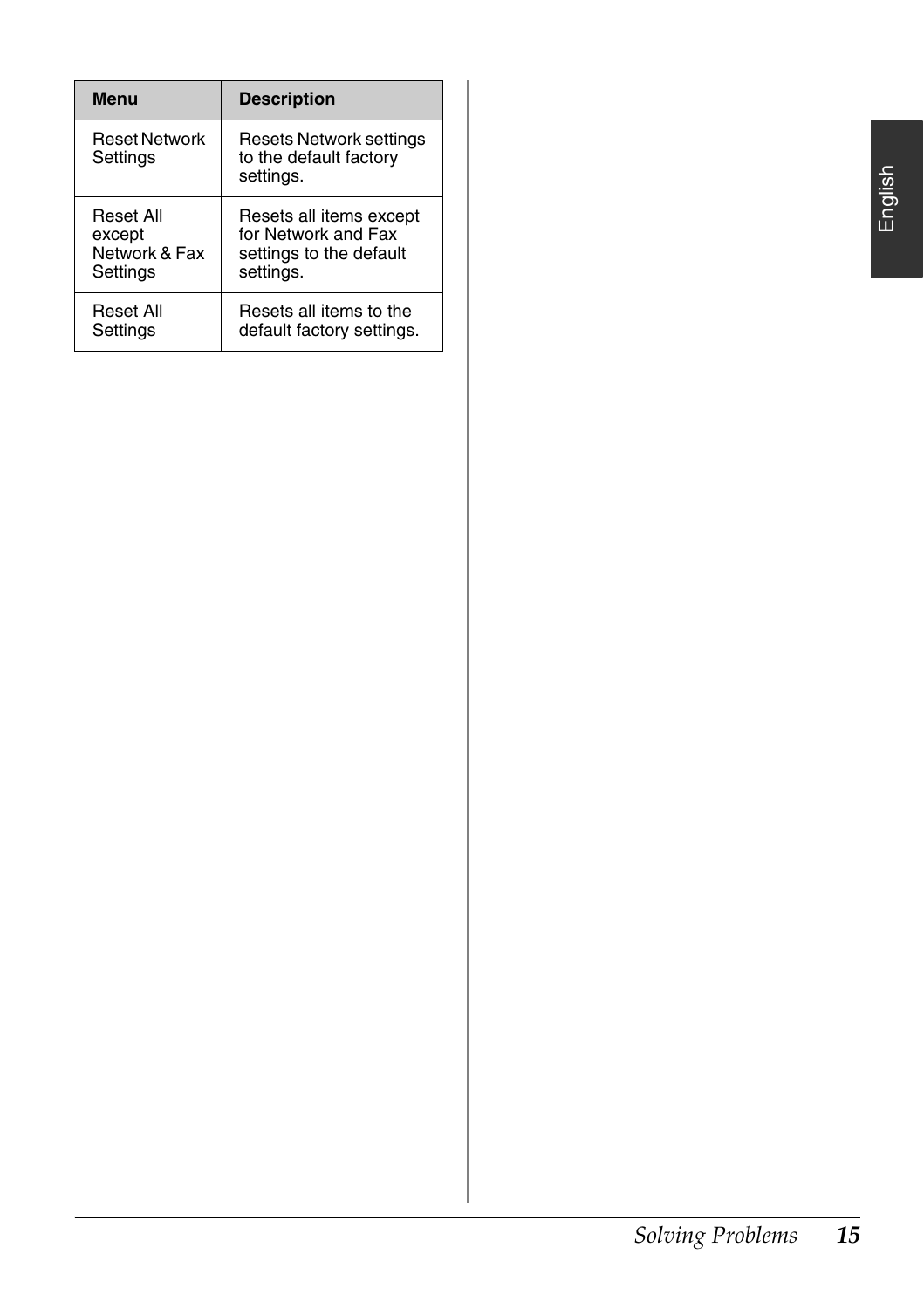| Menu                             | <b>Description</b>                                             |
|----------------------------------|----------------------------------------------------------------|
| <b>Reset Network</b><br>Settings | Resets Network settings<br>to the default factory<br>settings. |
| Reset All                        | Resets all items except                                        |
| except                           | for Network and Fax                                            |
| Network & Fax                    | settings to the default                                        |
| Settings                         | settings.                                                      |
| Reset All                        | Resets all items to the                                        |
| Settings                         | default factory settings.                                      |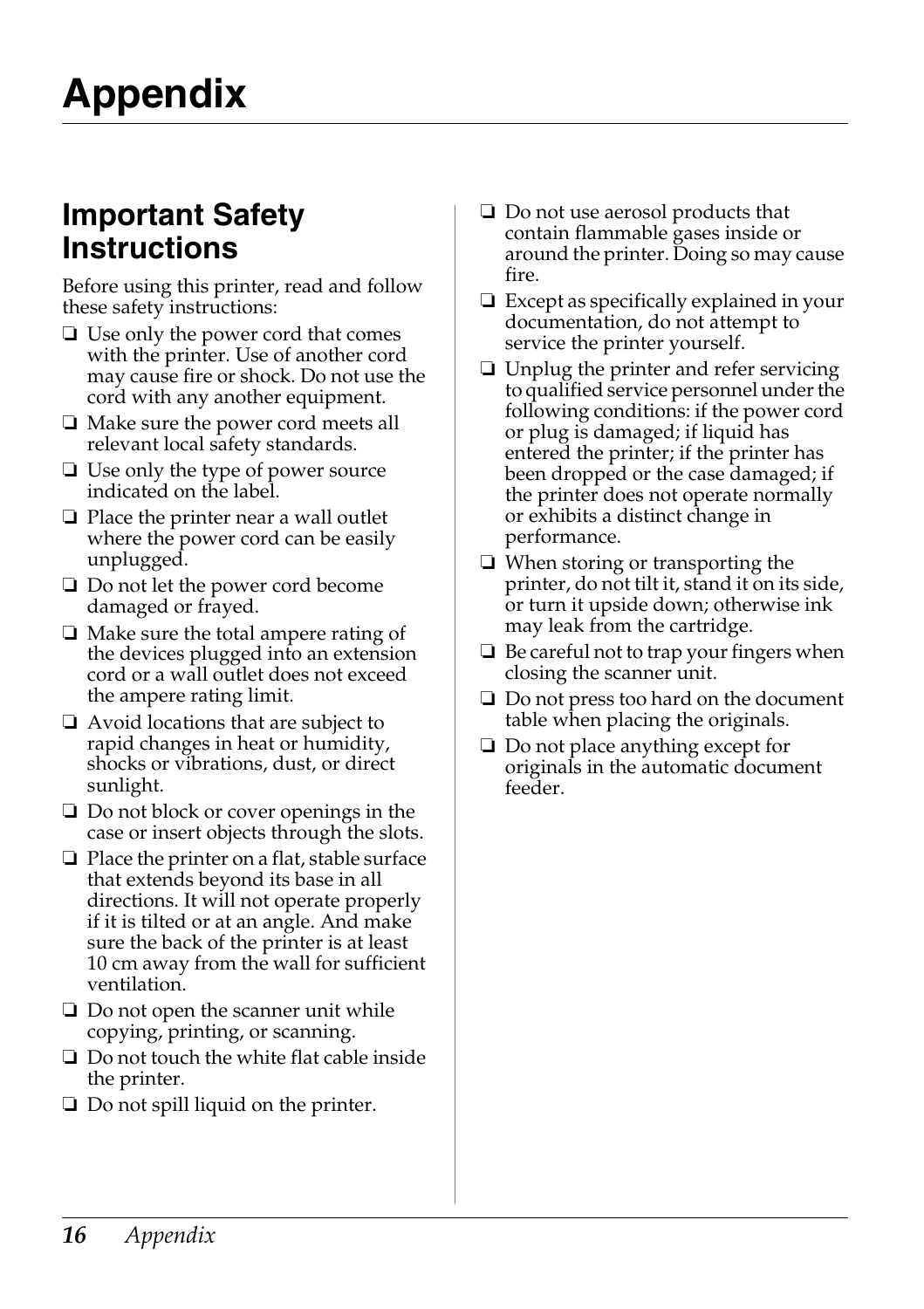## <span id="page-15-1"></span><span id="page-15-0"></span>**Important Safety Instructions**

Before using this printer, read and follow these safety instructions:

- ❏ Use only the power cord that comes with the printer. Use of another cord may cause fire or shock. Do not use the cord with any another equipment.
- ❏ Make sure the power cord meets all relevant local safety standards.
- ❏ Use only the type of power source indicated on the label.
- ❏ Place the printer near a wall outlet where the power cord can be easily unplugged.
- ❏ Do not let the power cord become damaged or frayed.
- ❏ Make sure the total ampere rating of the devices plugged into an extension cord or a wall outlet does not exceed the ampere rating limit.
- ❏ Avoid locations that are subject to rapid changes in heat or humidity, shocks or vibrations, dust, or direct sunlight.
- ❏ Do not block or cover openings in the case or insert objects through the slots.
- ❏ Place the printer on a flat, stable surface that extends beyond its base in all directions. It will not operate properly if it is tilted or at an angle. And make sure the back of the printer is at least 10 cm away from the wall for sufficient ventilation.
- ❏ Do not open the scanner unit while copying, printing, or scanning.
- ❏ Do not touch the white flat cable inside the printer.
- ❏ Do not spill liquid on the printer.
- ❏ Do not use aerosol products that contain flammable gases inside or around the printer. Doing so may cause fire.
- ❏ Except as specifically explained in your documentation, do not attempt to service the printer yourself.
- ❏ Unplug the printer and refer servicing to qualified service personnel under the following conditions: if the power cord or plug is damaged; if liquid has entered the printer; if the printer has been dropped or the case damaged; if the printer does not operate normally or exhibits a distinct change in performance.
- ❏ When storing or transporting the printer, do not tilt it, stand it on its side, or turn it upside down; otherwise ink may leak from the cartridge.
- ❏ Be careful not to trap your fingers when closing the scanner unit.
- ❏ Do not press too hard on the document table when placing the originals.
- ❏ Do not place anything except for originals in the automatic document feeder.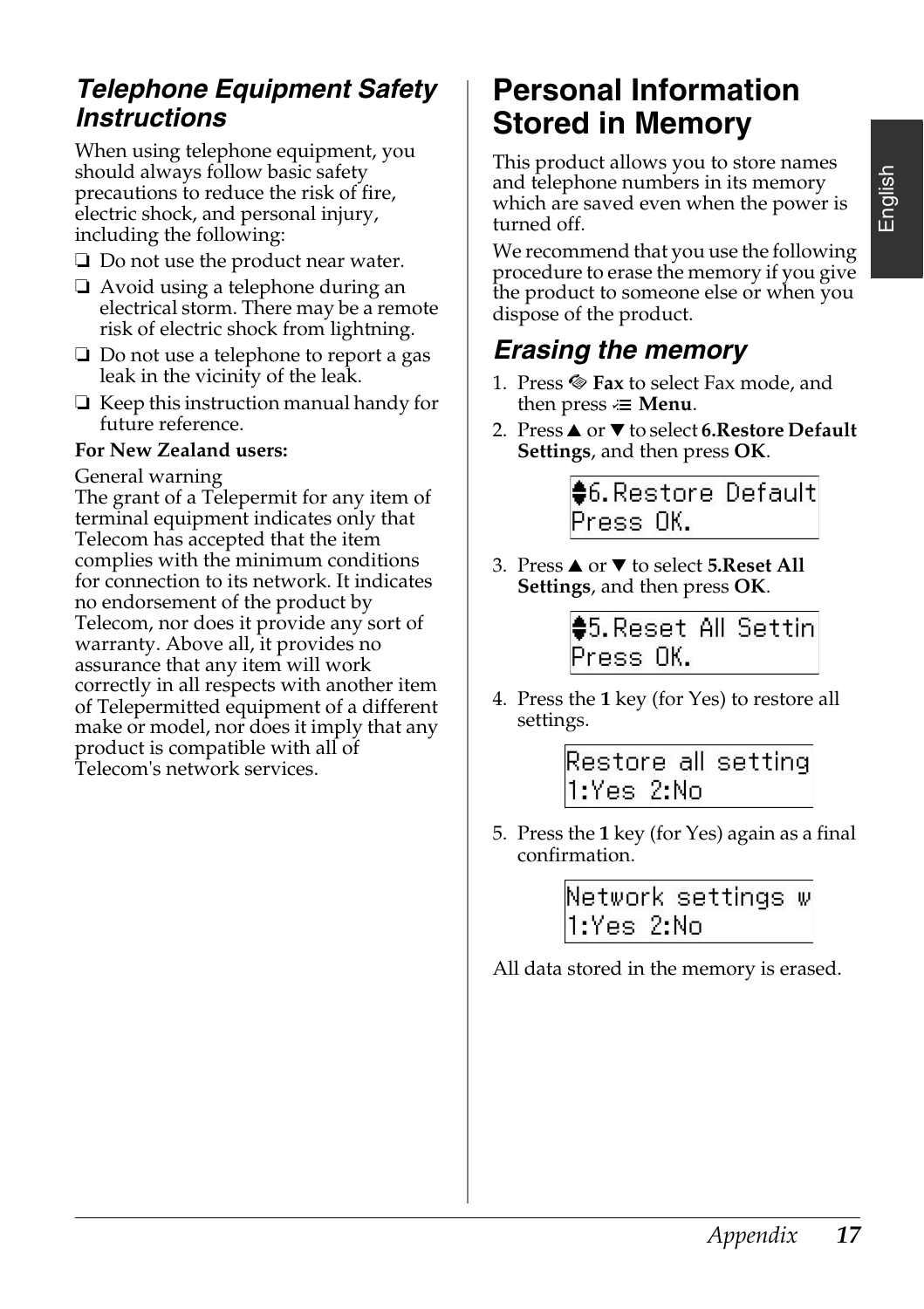### *Telephone Equipment Safety Instructions*

When using telephone equipment, you should always follow basic safety precautions to reduce the risk of fire, electric shock, and personal injury, including the following:

- ❏ Do not use the product near water.
- ❏ Avoid using a telephone during an electrical storm. There may be a remote risk of electric shock from lightning.
- ❏ Do not use a telephone to report a gas leak in the vicinity of the leak.
- ❏ Keep this instruction manual handy for future reference.

#### **For New Zealand users:**

General warning

The grant of a Telepermit for any item of terminal equipment indicates only that Telecom has accepted that the item complies with the minimum conditions for connection to its network. It indicates no endorsement of the product by Telecom, nor does it provide any sort of warranty. Above all, it provides no assurance that any item will work correctly in all respects with another item of Telepermitted equipment of a different make or model, nor does it imply that any product is compatible with all of Telecom's network services.

## <span id="page-16-0"></span>**Personal Information Stored in Memory**

This product allows you to store names and telephone numbers in its memory which are saved even when the power is turned off.

We recommend that you use the following procedure to erase the memory if you give the product to someone else or when you dispose of the product.

## *Erasing the memory*

- 1. Press  $\otimes$  **Fax** to select Fax mode, and then press  $\equiv$  **Menu**.
- 2. Press **▲** or ▼ to select **6.Restore Default Settings**, and then press **OK**.

\$6. Restore Default Press OK.

3. Press **▲** or ▼ to select **5.Reset All Settings**, and then press **OK**.

> \$5. Reset All Settin Press OK.

4. Press the **1** key (for Yes) to restore all settings.

> Restore all setting 1:Yes 2:No

5. Press the **1** key (for Yes) again as a final confirmation.

> Network settings w 1:Yes 2:No

All data stored in the memory is erased.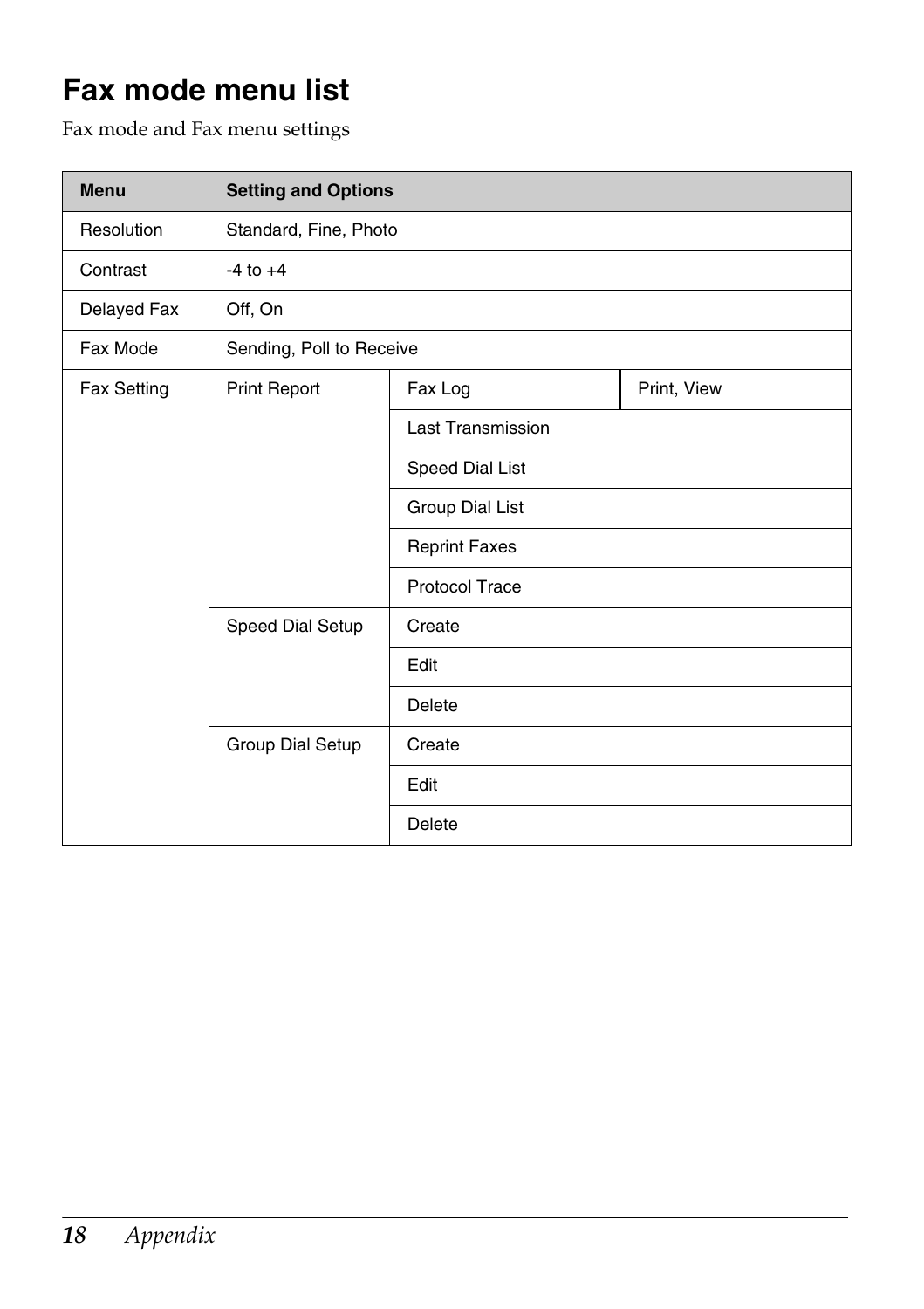## <span id="page-17-0"></span>**Fax mode menu list**

Fax mode and Fax menu settings

| <b>Menu</b> | <b>Setting and Options</b> |                          |             |
|-------------|----------------------------|--------------------------|-------------|
| Resolution  | Standard, Fine, Photo      |                          |             |
| Contrast    | $-4$ to $+4$               |                          |             |
| Delayed Fax | Off, On                    |                          |             |
| Fax Mode    | Sending, Poll to Receive   |                          |             |
| Fax Setting | Print Report               | Fax Log                  | Print, View |
|             |                            | <b>Last Transmission</b> |             |
|             |                            | Speed Dial List          |             |
|             |                            | Group Dial List          |             |
|             |                            | <b>Reprint Faxes</b>     |             |
|             |                            | <b>Protocol Trace</b>    |             |
|             | Speed Dial Setup           | Create                   |             |
|             |                            | Edit                     |             |
|             |                            | Delete                   |             |
|             | Group Dial Setup           | Create                   |             |
|             |                            | Edit                     |             |
|             |                            | Delete                   |             |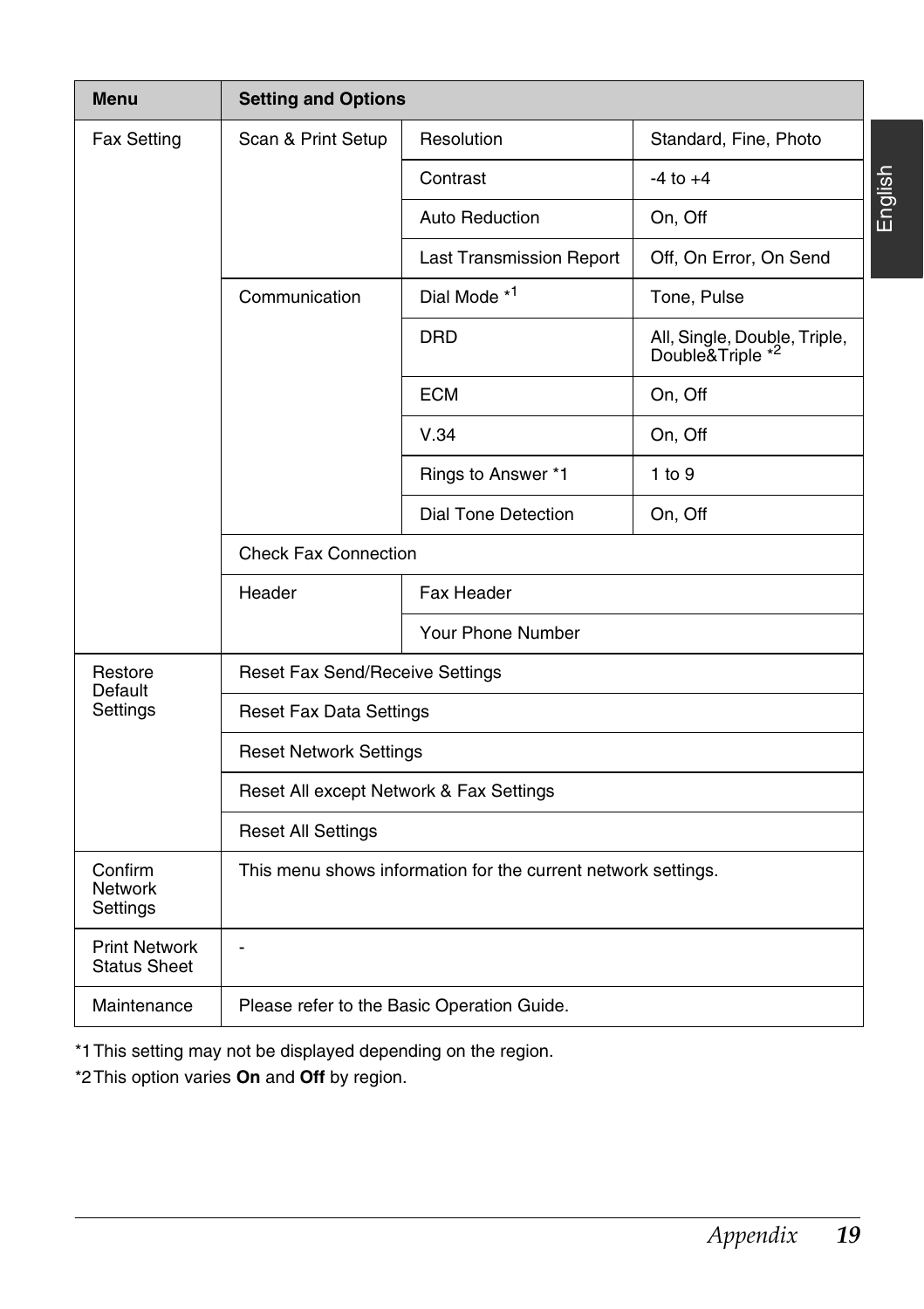| <b>Menu</b>                                 | <b>Setting and Options</b>                                    |                                 |                                                  |  |
|---------------------------------------------|---------------------------------------------------------------|---------------------------------|--------------------------------------------------|--|
| Fax Setting                                 | Scan & Print Setup                                            | Resolution                      | Standard, Fine, Photo                            |  |
|                                             |                                                               | Contrast                        | $-4$ to $+4$                                     |  |
|                                             |                                                               | Auto Reduction                  | On, Off                                          |  |
|                                             |                                                               | <b>Last Transmission Report</b> | Off, On Error, On Send                           |  |
|                                             | Communication                                                 | Dial Mode *1                    | Tone, Pulse                                      |  |
|                                             |                                                               | <b>DRD</b>                      | All, Single, Double, Triple,<br>Double&Triple *2 |  |
|                                             |                                                               | <b>ECM</b>                      | On, Off                                          |  |
|                                             |                                                               | V.34                            | On, Off                                          |  |
|                                             |                                                               | Rings to Answer *1              | 1 to 9                                           |  |
|                                             |                                                               | Dial Tone Detection             | On, Off                                          |  |
|                                             | <b>Check Fax Connection</b>                                   |                                 |                                                  |  |
|                                             | Header                                                        | Fax Header                      |                                                  |  |
|                                             |                                                               | Your Phone Number               |                                                  |  |
| Restore<br>Default<br>Settings              | Reset Fax Send/Receive Settings                               |                                 |                                                  |  |
|                                             | <b>Reset Fax Data Settings</b>                                |                                 |                                                  |  |
|                                             | <b>Reset Network Settings</b>                                 |                                 |                                                  |  |
|                                             | Reset All except Network & Fax Settings                       |                                 |                                                  |  |
|                                             | <b>Reset All Settings</b>                                     |                                 |                                                  |  |
| Confirm<br><b>Network</b><br>Settings       | This menu shows information for the current network settings. |                                 |                                                  |  |
| <b>Print Network</b><br><b>Status Sheet</b> | ä,                                                            |                                 |                                                  |  |
| Maintenance                                 | Please refer to the Basic Operation Guide.                    |                                 |                                                  |  |

\*1This setting may not be displayed depending on the region.

\*2This option varies **On** and **Off** by region.